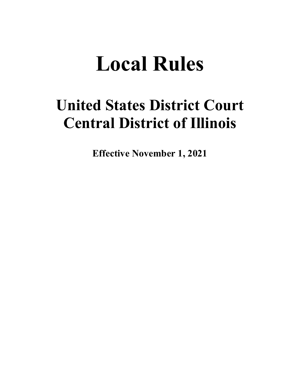# **Local Rules**

## **United States District Court Central District of Illinois**

**Effective November 1, 2021**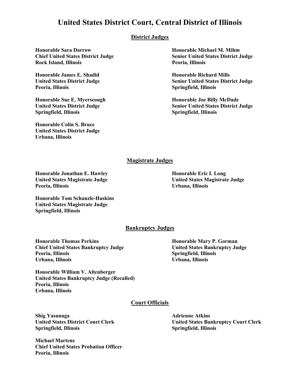### **United States District Court, Central District of Illinois**

#### **District Judges**

**Honorable Sara Darrow Chief United States District Judge Rock Island, Illinois**

**Honorable James E. Shadid United States District Judge Peoria, Illinois**

**Honorable Sue E. Myerscough United States District Judge Springfield, Illinois**

**Honorable Colin S. Bruce United States District Judge Urbana, Illinois** 

**Honorable Michael M. Mihm Senior United States District Judge Peoria, Illinois** 

**Honorable Richard Mills Senior United States District Judge Springfield, Illinois** 

**Honorable Joe Billy McDade Senior United States District Judge Springfield, Illinois** 

#### **Magistrate Judges**

**Honorable Jonathan E. Hawley United States Magistrate Judge Peoria, Illinois**

**Honorable Tom Schanzle-Haskins United States Magistrate Judge Springfield, Illinois** 

#### **Honorable Eric I. Long United States Magistrate Judge Urbana, Illinois**

#### **Bankruptcy Judges**

**Honorable Thomas Perkins Chief United States Bankruptcy Judge Peoria, Illinois Urbana, Illinois** 

**Honorable Mary P. Gorman United States Bankruptcy Judge Springfield, Illinois Urbana, Illinois**

**Honorable William V. Altenberger United States Bankruptcy Judge (Recalled) Peoria, Illinois Urbana, Illinois**

#### **Court Officials**

**Shig Yasunaga Adrienne Atkins Springfield, Illinois Springfield, Illinois**

**Michael Martens Chief United States Probation Officer Peoria, Illinois**

**United States District Court Clerk United States Bankruptcy Court Clerk**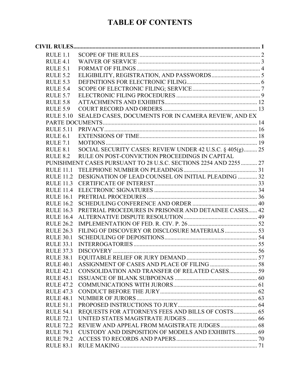## **TABLE OF CONTENTS**

|  | RULE 1.1                             |                                                                   |  |  |  |  |
|--|--------------------------------------|-------------------------------------------------------------------|--|--|--|--|
|  | RULE <sub>4.1</sub>                  |                                                                   |  |  |  |  |
|  | RULE 5.1                             |                                                                   |  |  |  |  |
|  | <b>RULE 5.2</b>                      |                                                                   |  |  |  |  |
|  | RULE 5.3                             |                                                                   |  |  |  |  |
|  | RULE 5.4                             |                                                                   |  |  |  |  |
|  | RULE 5.7                             |                                                                   |  |  |  |  |
|  | RULE 5.8                             |                                                                   |  |  |  |  |
|  | <b>RULE 5.9</b>                      |                                                                   |  |  |  |  |
|  | <b>RULE 5.10</b>                     | SEALED CASES, DOCUMENTS FOR IN CAMERA REVIEW, AND EX              |  |  |  |  |
|  |                                      |                                                                   |  |  |  |  |
|  | <b>RULE 5.11</b>                     |                                                                   |  |  |  |  |
|  | RULE <sub>6.1</sub>                  |                                                                   |  |  |  |  |
|  | RULE <sub>7.1</sub>                  |                                                                   |  |  |  |  |
|  | RULE 8.1                             | SOCIAL SECURITY CASES: REVIEW UNDER 42 U.S.C. § 405(g) 25         |  |  |  |  |
|  | <b>RULE 8.2</b>                      | RULE ON POST-CONVICTION PROCEEDINGS IN CAPITAL                    |  |  |  |  |
|  |                                      | PUNISHMENT CASES PURSUANT TO 28 U.S.C. SECTIONS 2254 AND 2255  27 |  |  |  |  |
|  | <b>RULE 11.1</b>                     |                                                                   |  |  |  |  |
|  | <b>RULE 11.2</b>                     | DESIGNATION OF LEAD COUNSEL ON INITIAL PLEADING  32               |  |  |  |  |
|  | <b>RULE 11.3</b>                     |                                                                   |  |  |  |  |
|  | <b>RULE 11.4</b>                     |                                                                   |  |  |  |  |
|  | <b>RULE 16.1</b>                     |                                                                   |  |  |  |  |
|  | <b>RULE 16.2</b>                     |                                                                   |  |  |  |  |
|  | <b>RULE 16.3</b>                     | PRETRIAL PROCEDURES IN PRISONER AND DETAINEE CASES 42             |  |  |  |  |
|  | <b>RULE 16.4</b>                     |                                                                   |  |  |  |  |
|  | <b>RULE 26.2</b>                     |                                                                   |  |  |  |  |
|  | <b>RULE 26.3</b>                     | FILING OF DISCOVERY OR DISCLOSURE MATERIALS  53                   |  |  |  |  |
|  | <b>RULE 30.1</b>                     |                                                                   |  |  |  |  |
|  | <b>RULE 33.1</b>                     |                                                                   |  |  |  |  |
|  | <b>RULE 37.3</b>                     |                                                                   |  |  |  |  |
|  | <b>RULE 38.1</b>                     |                                                                   |  |  |  |  |
|  | <b>RULE 40.1</b><br><b>RULE 42.1</b> |                                                                   |  |  |  |  |
|  | <b>RULE 45.1</b>                     |                                                                   |  |  |  |  |
|  | <b>RULE 47.2</b>                     |                                                                   |  |  |  |  |
|  | <b>RULE 47.3</b>                     |                                                                   |  |  |  |  |
|  | <b>RULE 48.1</b>                     |                                                                   |  |  |  |  |
|  | <b>RULE 51.1</b>                     |                                                                   |  |  |  |  |
|  | <b>RULE 54.1</b>                     | REQUESTS FOR ATTORNEYS FEES AND BILLS OF COSTS 65                 |  |  |  |  |
|  | <b>RULE 72.1</b>                     |                                                                   |  |  |  |  |
|  | <b>RULE 72.2</b>                     |                                                                   |  |  |  |  |
|  | <b>RULE 79.1</b>                     | CUSTODY AND DISPOSITION OF MODELS AND EXHIBITS 69                 |  |  |  |  |
|  | <b>RULE 79.2</b>                     |                                                                   |  |  |  |  |
|  | <b>RULE 83.1</b>                     |                                                                   |  |  |  |  |
|  |                                      |                                                                   |  |  |  |  |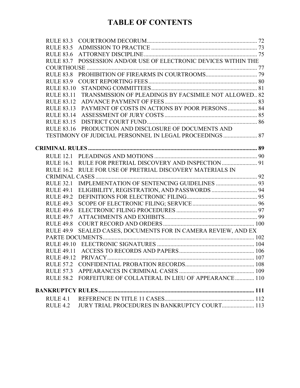## **TABLE OF CONTENTS**

| <b>RULE 83.5</b>                                                         |                                                              |  |  |
|--------------------------------------------------------------------------|--------------------------------------------------------------|--|--|
| <b>RULE 83.6</b>                                                         |                                                              |  |  |
| <b>RULE 83.7</b>                                                         | POSSESSION AND/OR USE OF ELECTRONIC DEVICES WITHIN THE       |  |  |
|                                                                          |                                                              |  |  |
| <b>RULE 83.8</b>                                                         |                                                              |  |  |
| <b>RULE 83.9</b>                                                         |                                                              |  |  |
|                                                                          |                                                              |  |  |
| <b>RULE 83.11</b>                                                        | TRANSMISSION OF PLEADINGS BY FACSIMILE NOT ALLOWED 82        |  |  |
| <b>RULE 83.12</b>                                                        |                                                              |  |  |
| <b>RULE 83.13</b>                                                        | PAYMENT OF COSTS IN ACTIONS BY POOR PERSONS 84               |  |  |
| <b>RULE 83.14</b>                                                        |                                                              |  |  |
| <b>RULE 83.15</b>                                                        |                                                              |  |  |
| <b>RULE 83.16</b>                                                        | PRODUCTION AND DISCLOSURE OF DOCUMENTS AND                   |  |  |
|                                                                          | TESTIMONY OF JUDICIAL PERSONNEL IN LEGAL PROCEEDINGS  87     |  |  |
|                                                                          |                                                              |  |  |
| <b>RULE 12.1</b>                                                         |                                                              |  |  |
| <b>RULE 16.1</b>                                                         |                                                              |  |  |
| <b>RULE 16.2</b>                                                         | RULE FOR USE OF PRETRIAL DISCOVERY MATERIALS IN              |  |  |
|                                                                          |                                                              |  |  |
| <b>RULE 32.1</b>                                                         |                                                              |  |  |
| <b>RULE 49.1</b>                                                         |                                                              |  |  |
| <b>RULE 49.2</b>                                                         |                                                              |  |  |
| <b>RULE 49.3</b>                                                         |                                                              |  |  |
| <b>RULE 49.6</b>                                                         |                                                              |  |  |
| <b>RULE 49.7</b>                                                         |                                                              |  |  |
| <b>RULE 49.8</b>                                                         |                                                              |  |  |
|                                                                          |                                                              |  |  |
| SEALED CASES, DOCUMENTS FOR IN CAMERA REVIEW, AND EX<br><b>RULE 49.9</b> |                                                              |  |  |
|                                                                          |                                                              |  |  |
|                                                                          |                                                              |  |  |
|                                                                          |                                                              |  |  |
|                                                                          |                                                              |  |  |
|                                                                          |                                                              |  |  |
|                                                                          |                                                              |  |  |
|                                                                          | RULE 58.2 FORFEITURE OF COLLATERAL IN LIEU OF APPEARANCE 110 |  |  |
|                                                                          |                                                              |  |  |
| RULE <sub>4.1</sub>                                                      |                                                              |  |  |
| RULE 4.2                                                                 | JURY TRIAL PROCEDURES IN BANKRUPTCY COURT 113                |  |  |
|                                                                          |                                                              |  |  |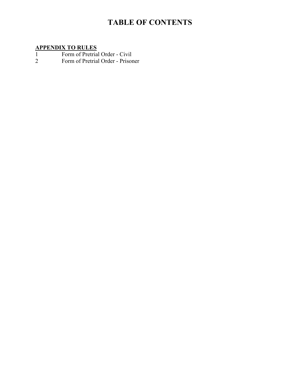## **TABLE OF CONTENTS**

#### **APPENDIX TO RULES**

- 1 Form of Pretrial Order Civil
- 2 Form of Pretrial Order Prisoner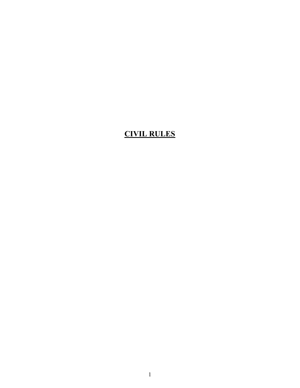## <span id="page-5-0"></span>**CIVIL RULES**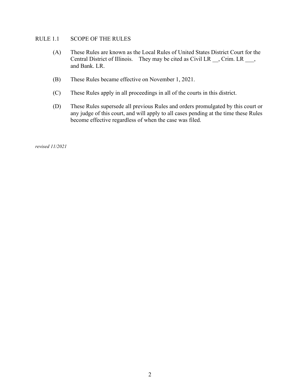#### <span id="page-6-0"></span>RULE 1.1 SCOPE OF THE RULES

- (A) These Rules are known as the Local Rules of United States District Court for the Central District of Illinois. They may be cited as Civil LR \_\_, Crim. LR \_\_\_, and Bank. LR.
- (B) These Rules became effective on November 1, 2021.
- (C) These Rules apply in all proceedings in all of the courts in this district.
- (D) These Rules supersede all previous Rules and orders promulgated by this court or any judge of this court, and will apply to all cases pending at the time these Rules become effective regardless of when the case was filed.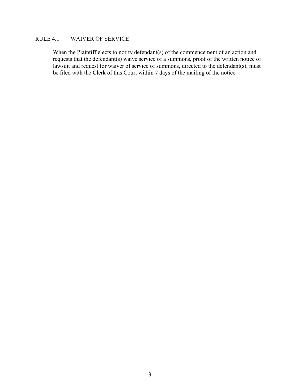#### <span id="page-7-0"></span>RULE 4.1 WAIVER OF SERVICE

When the Plaintiff elects to notify defendant(s) of the commencement of an action and requests that the defendant(s) waive service of a summons, proof of the written notice of lawsuit and request for waiver of service of summons, directed to the defendant(s), must be filed with the Clerk of this Court within 7 days of the mailing of the notice.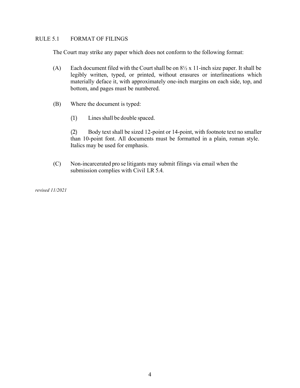#### <span id="page-8-0"></span>RULE 5.1 FORMAT OF FILINGS

The Court may strike any paper which does not conform to the following format:

- (A) Each document filed with the Court shall be on  $8\frac{1}{2}$  x 11-inch size paper. It shall be legibly written, typed, or printed, without erasures or interlineations which materially deface it, with approximately one-inch margins on each side, top, and bottom, and pages must be numbered.
- (B) Where the document is typed:
	- (1) Lines shall be double spaced.

(2) Body text shall be sized 12-point or 14-point, with footnote text no smaller than 10-point font. All documents must be formatted in a plain, roman style. Italics may be used for emphasis.

(C) Non-incarcerated pro se litigants may submit filings via email when the submission complies with Civil LR 5.4.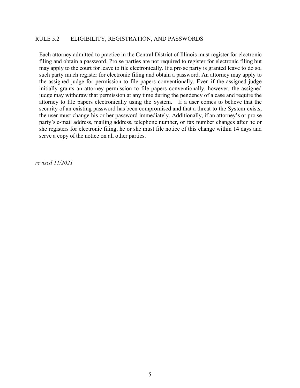<span id="page-9-0"></span>Each attorney admitted to practice in the Central District of Illinois must register for electronic filing and obtain a password. Pro se parties are not required to register for electronic filing but may apply to the court for leave to file electronically. If a pro se party is granted leave to do so, such party much register for electronic filing and obtain a password. An attorney may apply to the assigned judge for permission to file papers conventionally. Even if the assigned judge initially grants an attorney permission to file papers conventionally, however, the assigned judge may withdraw that permission at any time during the pendency of a case and require the attorney to file papers electronically using the System. If a user comes to believe that the security of an existing password has been compromised and that a threat to the System exists, the user must change his or her password immediately. Additionally, if an attorney's or pro se party's e-mail address, mailing address, telephone number, or fax number changes after he or she registers for electronic filing, he or she must file notice of this change within 14 days and serve a copy of the notice on all other parties.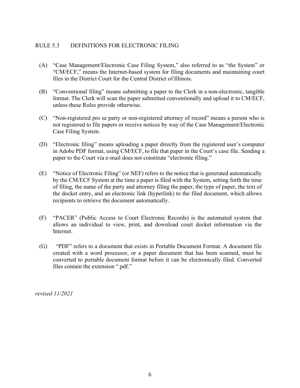#### <span id="page-10-0"></span>RULE 5.3 DEFINITIONS FOR ELECTRONIC FILING

- (A) "Case Management/Electronic Case Filing System," also referred to as "the System" or "CM/ECF," means the Internet-based system for filing documents and maintaining court files in the District Court for the Central District of Illinois.
- (B) "Conventional filing" means submitting a paper to the Clerk in a non-electronic, tangible format. The Clerk will scan the paper submitted conventionally and upload it to CM/ECF, unless these Rules provide otherwise.
- (C) "Non-registered pro se party or non-registered attorney of record" means a person who is not registered to file papers or receive notices by way of the Case Management/Electronic Case Filing System.
- (D) "Electronic filing" means uploading a paper directly from the registered user's computer in Adobe PDF format, using CM/ECF, to file that paper in the Court's case file. Sending a paper to the Court via e-mail does not constitute "electronic filing."
- (E) "Notice of Electronic Filing" (or NEF) refers to the notice that is generated automatically by the CM/ECF System at the time a paper is filed with the System, setting forth the time of filing, the name of the party and attorney filing the paper, the type of paper, the text of the docket entry, and an electronic link (hyperlink) to the filed document, which allows recipients to retrieve the document automatically.
- (F) "PACER" (Public Access to Court Electronic Records) is the automated system that allows an individual to view, print, and download court docket information via the Internet.
- (G) "PDF" refers to a document that exists in Portable Document Format. A document file created with a word processor, or a paper document that has been scanned, must be converted to portable document format before it can be electronically filed. Converted files contain the extension ".pdf."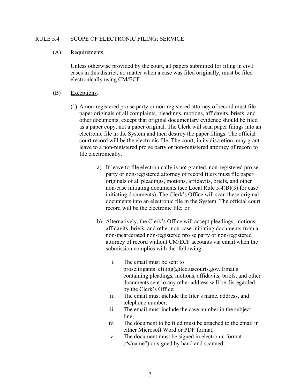#### <span id="page-11-0"></span>RULE 5.4 SCOPE OF ELECTRONIC FILING; SERVICE

#### (A) Requirements.

Unless otherwise provided by the court, all papers submitted for filing in civil cases in this district, no matter when a case was filed originally, must be filed electronically using CM/ECF.

#### (B) Exceptions.

- (1) A non-registered pro se party or non-registered attorney of record must file paper originals of all complaints, pleadings, motions, affidavits, briefs, and other documents, except that original documentary evidence should be filed as a paper copy, not a paper original. The Clerk will scan paper filings into an electronic file in the System and then destroy the paper filings. The official court record will be the electronic file. The court, in its discretion, may grant leave to a non-registered pro se party or non-registered attorney of record to file electronically.
	- a) If leave to file electronically is not granted, non-registered pro se party or non-registered attorney of record filers must file paper originals of all pleadings, motions, affidavits, briefs, and other non-case initiating documents (see Local Rule 5.4(B)(3) for case initiating documents). The Clerk's Office will scan these original documents into an electronic file in the System. The official court record will be the electronic file; or
	- b) Alternatively, the Clerk's Office will accept pleadings, motions, affidavits, briefs, and other non-case initiating documents from a non-incarcerated non-registered pro se party or non-registered attorney of record without CM/ECF accounts via email when the submission complies with the following:
		- i. The email must be sent to proselitigants  $efiling@ilcd.uscourts.gov.$  Emails containing pleadings, motions, affidavits, briefs, and other documents sent to any other address will be disregarded by the Clerk's Office;
		- ii. The email must include the filer's name, address, and telephone number;
		- iii. The email must include the case number in the subject line;
		- iv. The document to be filed must be attached to the email in either Microsoft Word or PDF format;
		- v. The document must be signed in electronic format ("s/name") or signed by hand and scanned;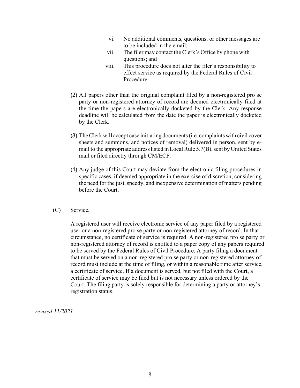- vi. No additional comments, questions, or other messages are to be included in the email;
- vii. The filer may contact the Clerk's Office by phone with questions; and
- viii. This procedure does not alter the filer's responsibility to effect service as required by the Federal Rules of Civil Procedure.
- (2) All papers other than the original complaint filed by a non-registered pro se party or non-registered attorney of record are deemed electronically filed at the time the papers are electronically docketed by the Clerk. Any response deadline will be calculated from the date the paper is electronically docketed by the Clerk.
- (3) The Clerk will accept case initiating documents (i.e. complaints with civil cover sheets and summons, and notices of removal) delivered in person, sent by email to the appropriate address listed in Local Rule  $5.7(B)$ , sent by United States mail or filed directly through CM/ECF.
- (4) Any judge of this Court may deviate from the electronic filing procedures in specific cases, if deemed appropriate in the exercise of discretion, considering the need for the just, speedy, and inexpensive determination of matters pending before the Court.
- (C) Service.

A registered user will receive electronic service of any paper filed by a registered user or a non-registered pro se party or non-registered attorney of record. In that circumstance, no certificate of service is required. A non-registered pro se party or non-registered attorney of record is entitled to a paper copy of any papers required to be served by the Federal Rules of Civil Procedure. A party filing a document that must be served on a non-registered pro se party or non-registered attorney of record must include at the time of filing, or within a reasonable time after service, a certificate of service. If a document is served, but not filed with the Court, a certificate of service may be filed but is not necessary unless ordered by the Court. The filing party is solely responsible for determining a party or attorney's registration status.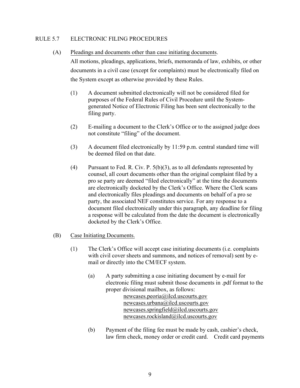#### <span id="page-13-0"></span>RULE 5.7 ELECTRONIC FILING PROCEDURES

- (A) Pleadings and documents other than case initiating documents. All motions, pleadings, applications, briefs, memoranda of law, exhibits, or other documents in a civil case (except for complaints) must be electronically filed on the System except as otherwise provided by these Rules.
	- (1) A document submitted electronically will not be considered filed for purposes of the Federal Rules of Civil Procedure until the Systemgenerated Notice of Electronic Filing has been sent electronically to the filing party.
	- (2) E-mailing a document to the Clerk's Office or to the assigned judge does not constitute "filing" of the document.
	- (3) A document filed electronically by 11:59 p.m. central standard time will be deemed filed on that date.
	- (4) Pursuant to Fed. R. Civ. P. 5(b)(3), as to all defendants represented by counsel, all court documents other than the original complaint filed by a pro se party are deemed "filed electronically" at the time the documents are electronically docketed by the Clerk's Office. Where the Clerk scans and electronically files pleadings and documents on behalf of a pro se party, the associated NEF constitutes service. For any response to a document filed electronically under this paragraph, any deadline for filing a response will be calculated from the date the document is electronically docketed by the Clerk's Office.
- (B) Case Initiating Documents.
	- (1) The Clerk's Office will accept case initiating documents (i.e. complaints with civil cover sheets and summons, and notices of removal) sent by email or directly into the CM/ECF system.
		- (a) A party submitting a case initiating document by e-mail for electronic filing must submit those documents in .pdf format to the proper divisional mailbox, as follows: newcases.peoria@ilcd.uscourts.gov newcases.urbana@ilcd.uscourts.gov newcases.springfield@ilcd.uscourts.gov newcases.rockisland@ilcd.uscourts.gov
		- (b) Payment of the filing fee must be made by cash, cashier's check, law firm check, money order or credit card. Credit card payments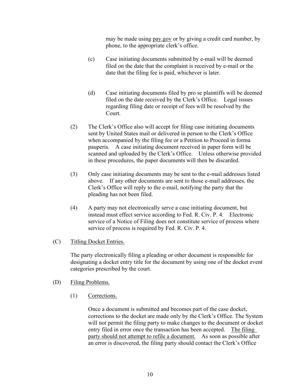may be made using pay.gov or by giving a credit card number, by phone, to the appropriate clerk's office.

- (c) Case initiating documents submitted by e-mail will be deemed filed on the date that the complaint is received by e-mail or the date that the filing fee is paid, whichever is later.
- (d) Case initiating documents filed by pro se plaintiffs will be deemed filed on the date received by the Clerk's Office. Legal issues regarding filing date or receipt of fees will be resolved by the Court.
- (2) The Clerk's Office also will accept for filing case initiating documents sent by United States mail or delivered in person to the Clerk's Office when accompanied by the filing fee or a Petition to Proceed in forma pauperis. A case initiating document received in paper form will be scanned and uploaded by the Clerk's Office. Unless otherwise provided in these procedures, the paper documents will then be discarded.
- (3) Only case initiating documents may be sent to the e-mail addresses listed above. If any other documents are sent to those e-mail addresses, the Clerk's Office will reply to the e-mail, notifying the party that the pleading has not been filed.
- (4) A party may not electronically serve a case initiating document, but instead must effect service according to Fed. R. Civ. P. 4. Electronic service of a Notice of Filing does not constitute service of process where service of process is required by Fed. R. Civ. P. 4.

#### (C) Titling Docket Entries.

The party electronically filing a pleading or other document is responsible for designating a docket entry title for the document by using one of the docket event categories prescribed by the court.

#### (D) Filing Problems.

(1) Corrections.

Once a document is submitted and becomes part of the case docket, corrections to the docket are made only by the Clerk's Office. The System will not permit the filing party to make changes to the document or docket entry filed in error once the transaction has been accepted. The filing party should not attempt to refile a document. As soon as possible after an error is discovered, the filing party should contact the Clerk's Office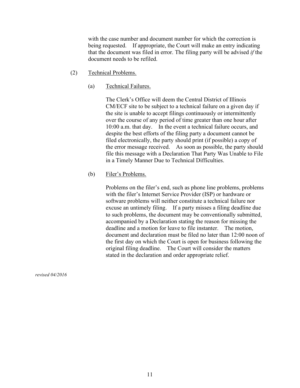with the case number and document number for which the correction is being requested. If appropriate, the Court will make an entry indicating that the document was filed in error. The filing party will be advised *if* the document needs to be refiled.

- (2) Technical Problems.
	- (a) Technical Failures.

The Clerk's Office will deem the Central District of Illinois CM/ECF site to be subject to a technical failure on a given day if the site is unable to accept filings continuously or intermittently over the course of any period of time greater than one hour after 10:00 a.m. that day. In the event a technical failure occurs, and despite the best efforts of the filing party a document cannot be filed electronically, the party should print (if possible) a copy of the error message received. As soon as possible, the party should file this message with a Declaration That Party Was Unable to File in a Timely Manner Due to Technical Difficulties.

(b) Filer's Problems.

Problems on the filer's end, such as phone line problems, problems with the filer's Internet Service Provider (ISP) or hardware or software problems will neither constitute a technical failure nor excuse an untimely filing. If a party misses a filing deadline due to such problems, the document may be conventionally submitted, accompanied by a Declaration stating the reason for missing the deadline and a motion for leave to file instanter. The motion, document and declaration must be filed no later than 12:00 noon of the first day on which the Court is open for business following the original filing deadline. The Court will consider the matters stated in the declaration and order appropriate relief.

*revised 04/2016*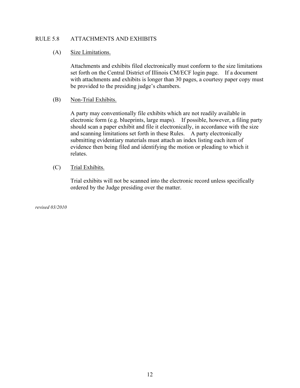#### <span id="page-16-0"></span>RULE 5.8 ATTACHMENTS AND EXHIBITS

#### (A) Size Limitations.

Attachments and exhibits filed electronically must conform to the size limitations set forth on the Central District of Illinois CM/ECF login page. If a document with attachments and exhibits is longer than 30 pages, a courtesy paper copy must be provided to the presiding judge's chambers.

#### (B) Non-Trial Exhibits.

A party may conventionally file exhibits which are not readily available in electronic form (e.g. blueprints, large maps). If possible, however, a filing party should scan a paper exhibit and file it electronically, in accordance with the size and scanning limitations set forth in these Rules. A party electronically submitting evidentiary materials must attach an index listing each item of evidence then being filed and identifying the motion or pleading to which it relates.

#### (C) Trial Exhibits.

Trial exhibits will not be scanned into the electronic record unless specifically ordered by the Judge presiding over the matter.

*revised 03/2010*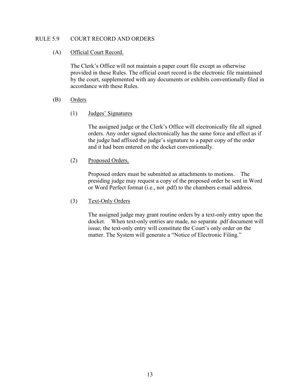#### <span id="page-17-0"></span>RULE 5.9 COURT RECORD AND ORDERS

#### (A) Official Court Record.

The Clerk's Office will not maintain a paper court file except as otherwise provided in these Rules. The official court record is the electronic file maintained by the court, supplemented with any documents or exhibits conventionally filed in accordance with these Rules.

#### (B) Orders

#### (1) Judges' Signatures

The assigned judge or the Clerk's Office will electronically file all signed orders. Any order signed electronically has the same force and effect as if the judge had affixed the judge's signature to a paper copy of the order and it had been entered on the docket conventionally.

#### (2) Proposed Orders.

Proposed orders must be submitted as attachments to motions. The presiding judge may request a copy of the proposed order be sent in Word or Word Perfect format (i.e., not .pdf) to the chambers e-mail address.

#### (3) Text-Only Orders

The assigned judge may grant routine orders by a text-only entry upon the docket. When text-only entries are made, no separate .pdf document will issue; the text-only entry will constitute the Court's only order on the matter. The System will generate a "Notice of Electronic Filing."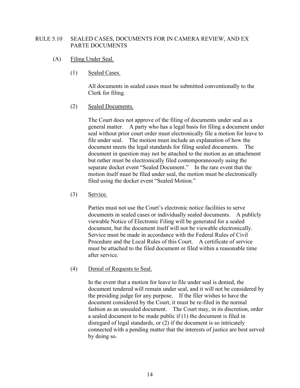#### <span id="page-18-0"></span>RULE 5.10 SEALED CASES, DOCUMENTS FOR IN CAMERA REVIEW, AND EX PARTE DOCUMENTS

- (A) Filing Under Seal.
	- (1) Sealed Cases.

All documents in sealed cases must be submitted conventionally to the Clerk for filing.

(2) Sealed Documents.

The Court does not approve of the filing of documents under seal as a general matter. A party who has a legal basis for filing a document under seal without prior court order must electronically file a motion for leave to file under seal. The motion must include an explanation of how the document meets the legal standards for filing sealed documents. The document in question may not be attached to the motion as an attachment but rather must be electronically filed contemporaneously using the separate docket event "Sealed Document." In the rare event that the motion itself must be filed under seal, the motion must be electronically filed using the docket event "Sealed Motion."

(3) Service.

Parties must not use the Court's electronic notice facilities to serve documents in sealed cases or individually sealed documents. A publicly viewable Notice of Electronic Filing will be generated for a sealed document, but the document itself will not be viewable electronically. Service must be made in accordance with the Federal Rules of Civil Procedure and the Local Rules of this Court. A certificate of service must be attached to the filed document or filed within a reasonable time after service.

(4) Denial of Requests to Seal.

In the event that a motion for leave to file under seal is denied, the document tendered will remain under seal, and it will not be considered by the presiding judge for any purpose. If the filer wishes to have the document considered by the Court, it must be re-filed in the normal fashion as an unsealed document. The Court may, in its discretion, order a sealed document to be made public if (1) the document is filed in disregard of legal standards, or (2) if the document is so intricately connected with a pending matter that the interests of justice are best served by doing so.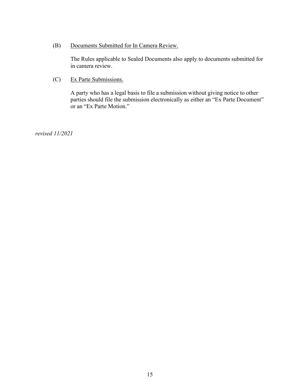#### (B) Documents Submitted for In Camera Review.

The Rules applicable to Sealed Documents also apply to documents submitted for in camera review.

(C) Ex Parte Submissions.

A party who has a legal basis to file a submission without giving notice to other parties should file the submission electronically as either an "Ex Parte Document" or an "Ex Parte Motion."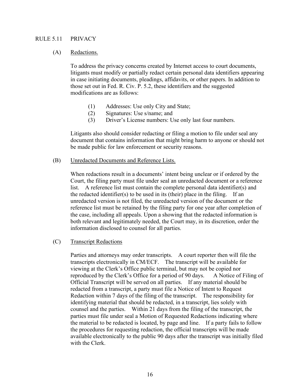#### <span id="page-20-0"></span>RULE 5.11 PRIVACY

#### (A) Redactions.

To address the privacy concerns created by Internet access to court documents, litigants must modify or partially redact certain personal data identifiers appearing in case initiating documents, pleadings, affidavits, or other papers. In addition to those set out in Fed. R. Civ. P. 5.2, these identifiers and the suggested modifications are as follows:

- (1) Addresses: Use only City and State;
- (2) Signatures: Use s/name; and
- (3) Driver's License numbers: Use only last four numbers.

Litigants also should consider redacting or filing a motion to file under seal any document that contains information that might bring harm to anyone or should not be made public for law enforcement or security reasons.

#### (B) Unredacted Documents and Reference Lists.

When redactions result in a documents' intent being unclear or if ordered by the Court, the filing party must file under seal an unredacted document or a reference list. A reference list must contain the complete personal data identifier(s) and the redacted identifier(s) to be used in its (their) place in the filing. If an unredacted version is not filed, the unredacted version of the document or the reference list must be retained by the filing party for one year after completion of the case, including all appeals. Upon a showing that the redacted information is both relevant and legitimately needed, the Court may, in its discretion, order the information disclosed to counsel for all parties.

#### (C) Transcript Redactions

Parties and attorneys may order transcripts. A court reporter then will file the transcripts electronically in CM/ECF. The transcript will be available for viewing at the Clerk's Office public terminal, but may not be copied nor reproduced by the Clerk's Office for a period of 90 days. A Notice of Filing of Official Transcript will be served on all parties. If any material should be redacted from a transcript, a party must file a Notice of Intent to Request Redaction within 7 days of the filing of the transcript. The responsibility for identifying material that should be redacted, in a transcript, lies solely with counsel and the parties. Within 21 days from the filing of the transcript, the parties must file under seal a Motion of Requested Redactions indicating where the material to be redacted is located, by page and line. If a party fails to follow the procedures for requesting redaction, the official transcripts will be made available electronically to the public 90 days after the transcript was initially filed with the Clerk.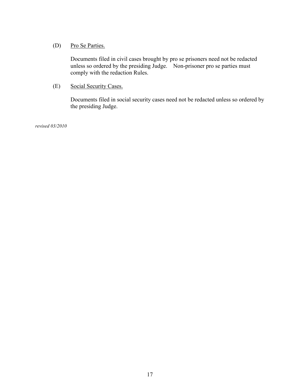#### (D) Pro Se Parties.

Documents filed in civil cases brought by pro se prisoners need not be redacted unless so ordered by the presiding Judge. Non-prisoner pro se parties must comply with the redaction Rules.

#### (E) Social Security Cases.

Documents filed in social security cases need not be redacted unless so ordered by the presiding Judge.

*revised 03/2010*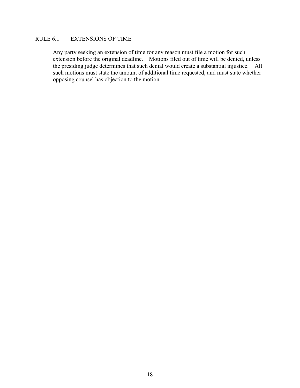#### <span id="page-22-0"></span>RULE 6.1 EXTENSIONS OF TIME

Any party seeking an extension of time for any reason must file a motion for such extension before the original deadline. Motions filed out of time will be denied, unless the presiding judge determines that such denial would create a substantial injustice. All such motions must state the amount of additional time requested, and must state whether opposing counsel has objection to the motion.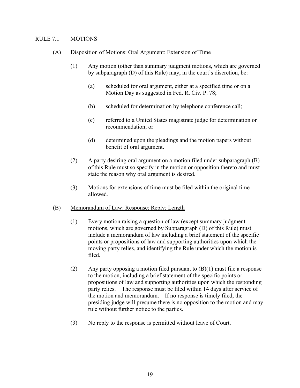#### <span id="page-23-0"></span>RULE 7.1 MOTIONS

- (A) Disposition of Motions: Oral Argument: Extension of Time
	- (1) Any motion (other than summary judgment motions, which are governed by subparagraph (D) of this Rule) may, in the court's discretion, be:
		- (a) scheduled for oral argument, either at a specified time or on a Motion Day as suggested in Fed. R. Civ. P. 78;
		- (b) scheduled for determination by telephone conference call;
		- (c) referred to a United States magistrate judge for determination or recommendation; or
		- (d) determined upon the pleadings and the motion papers without benefit of oral argument.
	- (2) A party desiring oral argument on a motion filed under subparagraph (B) of this Rule must so specify in the motion or opposition thereto and must state the reason why oral argument is desired.
	- (3) Motions for extensions of time must be filed within the original time allowed.

#### (B) Memorandum of Law: Response; Reply; Length

- (1) Every motion raising a question of law (except summary judgment motions, which are governed by Subparagraph (D) of this Rule) must include a memorandum of law including a brief statement of the specific points or propositions of law and supporting authorities upon which the moving party relies, and identifying the Rule under which the motion is filed.
- (2) Any party opposing a motion filed pursuant to  $(B)(1)$  must file a response to the motion, including a brief statement of the specific points or propositions of law and supporting authorities upon which the responding party relies. The response must be filed within 14 days after service of the motion and memorandum. If no response is timely filed, the presiding judge will presume there is no opposition to the motion and may rule without further notice to the parties.
- (3) No reply to the response is permitted without leave of Court.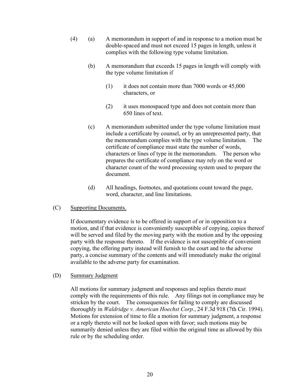- (4) (a) A memorandum in support of and in response to a motion must be double-spaced and must not exceed 15 pages in length, unless it complies with the following type volume limitation.
	- (b) A memorandum that exceeds 15 pages in length will comply with the type volume limitation if
		- (1) it does not contain more than 7000 words or 45,000 characters, or
		- (2) it uses monospaced type and does not contain more than 650 lines of text.
	- (c) A memorandum submitted under the type volume limitation must include a certificate by counsel, or by an unrepresented party, that the memorandum complies with the type volume limitation. The certificate of compliance must state the number of words, characters or lines of type in the memorandum. The person who prepares the certificate of compliance may rely on the word or character count of the word processing system used to prepare the document.
	- (d) All headings, footnotes, and quotations count toward the page, word, character, and line limitations.

#### (C) Supporting Documents.

If documentary evidence is to be offered in support of or in opposition to a motion, and if that evidence is conveniently susceptible of copying, copies thereof will be served and filed by the moving party with the motion and by the opposing party with the response thereto. If the evidence is not susceptible of convenient copying, the offering party instead will furnish to the court and to the adverse party, a concise summary of the contents and will immediately make the original available to the adverse party for examination.

#### (D) Summary Judgment

All motions for summary judgment and responses and replies thereto must comply with the requirements of this rule. Any filings not in compliance may be stricken by the court. The consequences for failing to comply are discussed thoroughly in *Waldridge v. American Hoechst Corp.*, 24 F.3d 918 (7th Cir. 1994). Motions for extension of time to file a motion for summary judgment, a response or a reply thereto will not be looked upon with favor; such motions may be summarily denied unless they are filed within the original time as allowed by this rule or by the scheduling order.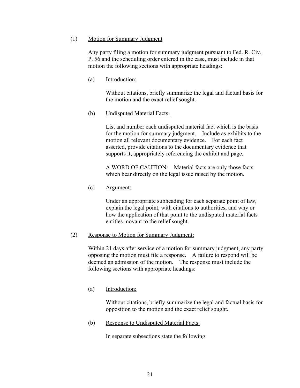#### (1) Motion for Summary Judgment

Any party filing a motion for summary judgment pursuant to Fed. R. Civ. P. 56 and the scheduling order entered in the case, must include in that motion the following sections with appropriate headings:

(a) Introduction:

Without citations, briefly summarize the legal and factual basis for the motion and the exact relief sought.

(b) Undisputed Material Facts:

List and number each undisputed material fact which is the basis for the motion for summary judgment. Include as exhibits to the motion all relevant documentary evidence. For each fact asserted, provide citations to the documentary evidence that supports it, appropriately referencing the exhibit and page.

A WORD OF CAUTION: Material facts are only those facts which bear directly on the legal issue raised by the motion.

(c) Argument:

Under an appropriate subheading for each separate point of law, explain the legal point, with citations to authorities, and why or how the application of that point to the undisputed material facts entitles movant to the relief sought.

(2) Response to Motion for Summary Judgment:

Within 21 days after service of a motion for summary judgment, any party opposing the motion must file a response. A failure to respond will be deemed an admission of the motion. The response must include the following sections with appropriate headings:

(a) Introduction:

Without citations, briefly summarize the legal and factual basis for opposition to the motion and the exact relief sought.

(b) Response to Undisputed Material Facts:

In separate subsections state the following: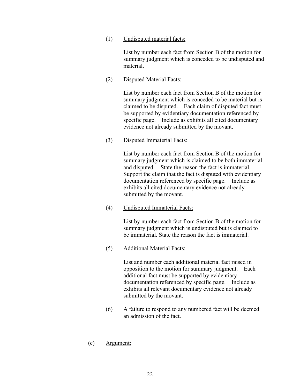(1) Undisputed material facts:

List by number each fact from Section B of the motion for summary judgment which is conceded to be undisputed and material.

(2) Disputed Material Facts:

List by number each fact from Section B of the motion for summary judgment which is conceded to be material but is claimed to be disputed. Each claim of disputed fact must be supported by evidentiary documentation referenced by specific page. Include as exhibits all cited documentary evidence not already submitted by the movant.

(3) Disputed Immaterial Facts:

List by number each fact from Section B of the motion for summary judgment which is claimed to be both immaterial and disputed. State the reason the fact is immaterial. Support the claim that the fact is disputed with evidentiary documentation referenced by specific page. Include as exhibits all cited documentary evidence not already submitted by the movant.

(4) Undisputed Immaterial Facts:

List by number each fact from Section B of the motion for summary judgment which is undisputed but is claimed to be immaterial. State the reason the fact is immaterial.

(5) Additional Material Facts:

List and number each additional material fact raised in opposition to the motion for summary judgment. Each additional fact must be supported by evidentiary documentation referenced by specific page. Include as exhibits all relevant documentary evidence not already submitted by the movant.

- (6) A failure to respond to any numbered fact will be deemed an admission of the fact.
- (c) Argument: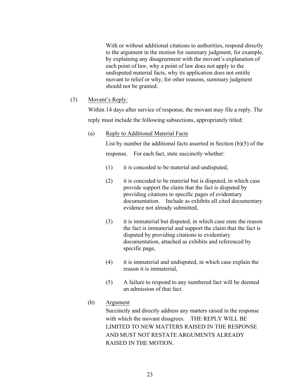With or without additional citations to authorities, respond directly to the argument in the motion for summary judgment, for example, by explaining any disagreement with the movant's explanation of each point of law, why a point of law does not apply to the undisputed material facts, why its application does not entitle movant to relief or why, for other reasons, summary judgment should not be granted.

#### (3) Movant's Reply:

Within 14 days after service of response, the movant may file a reply. The reply must include the following subsections, appropriately titled:

#### (a) Reply to Additional Material Facts

List by number the additional facts asserted in Section (b)(5) of the response. For each fact, state succinctly whether:

- (1) it is conceded to be material and undisputed,
- $(2)$  it is conceded to be material but is disputed, in which case provide support the claim that the fact is disputed by providing citations to specific pages of evidentiary documentation. Include as exhibits all cited documentary evidence not already submitted,
- (3) it is immaterial but disputed, in which case state the reason the fact is immaterial and support the claim that the fact is disputed by providing citations to evidentiary documentation, attached as exhibits and referenced by specific page,
- $(4)$  it is immaterial and undisputed, in which case explain the reason it is immaterial,
- (5) A failure to respond to any numbered fact will be deemed an admission of that fact.
- (b) Argument

Succinctly and directly address any matters raised in the response with which the movant disagrees. THE REPLY WILL BE LIMITED TO NEW MATTERS RAISED IN THE RESPONSE AND MUST NOT RESTATE ARGUMENTS ALREADY RAISED IN THE MOTION.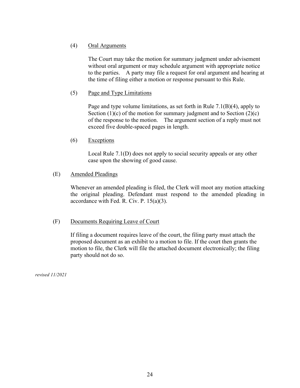#### (4) Oral Arguments

The Court may take the motion for summary judgment under advisement without oral argument or may schedule argument with appropriate notice to the parties. A party may file a request for oral argument and hearing at the time of filing either a motion or response pursuant to this Rule.

#### (5) Page and Type Limitations

Page and type volume limitations, as set forth in Rule 7.1(B)(4), apply to Section  $(1)(c)$  of the motion for summary judgment and to Section  $(2)(c)$ of the response to the motion. The argument section of a reply must not exceed five double-spaced pages in length.

#### (6) Exceptions

Local Rule 7.1(D) does not apply to social security appeals or any other case upon the showing of good cause.

#### (E) Amended Pleadings

Whenever an amended pleading is filed, the Clerk will moot any motion attacking the original pleading. Defendant must respond to the amended pleading in accordance with Fed. R. Civ. P. 15(a)(3).

#### (F) Documents Requiring Leave of Court

If filing a document requires leave of the court, the filing party must attach the proposed document as an exhibit to a motion to file. If the court then grants the motion to file, the Clerk will file the attached document electronically; the filing party should not do so.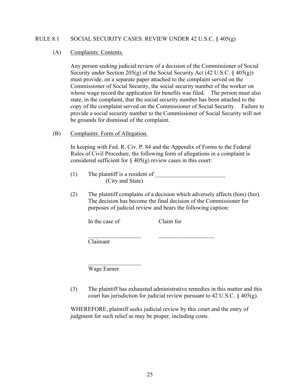#### <span id="page-29-0"></span>RULE 8.1 SOCIAL SECURITY CASES: REVIEW UNDER 42 U.S.C. § 405(g)

#### (A) Complaints: Contents.

Any person seeking judicial review of a decision of the Commissioner of Social Security under Section 205(g) of the Social Security Act (42 U.S.C. § 405(g)) must provide, on a separate paper attached to the complaint served on the Commissioner of Social Security, the social security number of the worker on whose wage record the application for benefits was filed. The person must also state, in the complaint, that the social security number has been attached to the copy of the complaint served on the Commissioner of Social Security. Failure to provide a social security number to the Commissioner of Social Security will not be grounds for dismissal of the complaint.

(B) Complaints: Form of Allegation.

In keeping with Fed. R. Civ. P. 84 and the Appendix of Forms to the Federal Rules of Civil Procedure, the following form of allegations in a complaint is considered sufficient for  $\S$  405(g) review cases in this court:

 $(1)$  The plaintiff is a resident of (City and State)

 $\overline{\phantom{a}}$  , and the set of the set of the set of the set of the set of the set of the set of the set of the set of the set of the set of the set of the set of the set of the set of the set of the set of the set of the s

(2) The plaintiff complains of a decision which adversely affects (him) (her). The decision has become the final decision of the Commissioner for purposes of judicial review and bears the following caption:

In the case of Claim for

Claimant

 $\mathcal{L}_\text{max}$  , where  $\mathcal{L}_\text{max}$ Wage Earner

(3) The plaintiff has exhausted administrative remedies in this matter and this court has jurisdiction for judicial review pursuant to 42 U.S.C.  $\S$  405(g).

WHEREFORE, plaintiff seeks judicial review by this court and the entry of judgment for such relief as may be proper, including costs.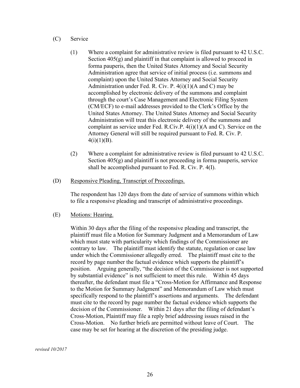#### (C) Service

- (1) Where a complaint for administrative review is filed pursuant to 42 U.S.C. Section  $405(g)$  and plaintiff in that complaint is allowed to proceed in forma pauperis, then the United States Attorney and Social Security Administration agree that service of initial process (i.e. summons and complaint) upon the United States Attorney and Social Security Administration under Fed. R. Civ. P.  $4(i)(1)(A \text{ and } C)$  may be accomplished by electronic delivery of the summons and complaint through the court's Case Management and Electronic Filing System (CM/ECF) to e-mail addresses provided to the Clerk's Office by the United States Attorney. The United States Attorney and Social Security Administration will treat this electronic delivery of the summons and complaint as service under Fed. R.Civ.P. 4(i)(1)(A and C). Service on the Attorney General will still be required pursuant to Fed. R. Civ. P.  $4(i)(1)(B)$ .
- (2) Where a complaint for administrative review is filed pursuant to 42 U.S.C. Section  $405(g)$  and plaintiff is not proceeding in forma pauperis, service shall be accomplished pursuant to Fed. R. Civ. P. 4(I).
- (D) Responsive Pleading, Transcript of Proceedings.

The respondent has 120 days from the date of service of summons within which to file a responsive pleading and transcript of administrative proceedings.

(E) Motions: Hearing.

Within 30 days after the filing of the responsive pleading and transcript, the plaintiff must file a Motion for Summary Judgment and a Memorandum of Law which must state with particularity which findings of the Commissioner are contrary to law. The plaintiff must identify the statute, regulation or case law under which the Commissioner allegedly erred. The plaintiff must cite to the record by page number the factual evidence which supports the plaintiff's position. Arguing generally, "the decision of the Commissioner is not supported by substantial evidence" is not sufficient to meet this rule. Within 45 days thereafter, the defendant must file a "Cross-Motion for Affirmance and Response to the Motion for Summary Judgment" and Memorandum of Law which must specifically respond to the plaintiff's assertions and arguments. The defendant must cite to the record by page number the factual evidence which supports the decision of the Commissioner. Within 21 days after the filing of defendant's Cross-Motion, Plaintiff may file a reply brief addressing issues raised in the Cross-Motion. No further briefs are permitted without leave of Court. The case may be set for hearing at the discretion of the presiding judge.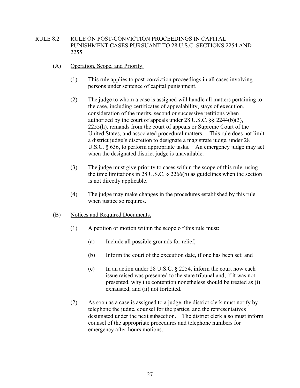#### <span id="page-31-0"></span>RULE 8.2 RULE ON POST-CONVICTION PROCEEDINGS IN CAPITAL PUNISHMENT CASES PURSUANT TO 28 U.S.C. SECTIONS 2254 AND 2255

- (A) Operation, Scope, and Priority.
	- (1) This rule applies to post-conviction proceedings in all cases involving persons under sentence of capital punishment.
	- (2) The judge to whom a case is assigned will handle all matters pertaining to the case, including certificates of appealability, stays of execution, consideration of the merits, second or successive petitions when authorized by the court of appeals under 28 U.S.C. §§ 2244(b)(3), 2255(h), remands from the court of appeals or Supreme Court of the United States, and associated procedural matters. This rule does not limit a district judge's discretion to designate a magistrate judge, under 28 U.S.C. § 636, to perform appropriate tasks. An emergency judge may act when the designated district judge is unavailable.
	- (3) The judge must give priority to cases within the scope of this rule, using the time limitations in 28 U.S.C. § 2266(b) as guidelines when the section is not directly applicable.
	- (4) The judge may make changes in the procedures established by this rule when justice so requires.
- (B) Notices and Required Documents.
	- (1) A petition or motion within the scope o f this rule must:
		- (a) Include all possible grounds for relief;
		- (b) Inform the court of the execution date, if one has been set; and
		- (c) In an action under 28 U.S.C.  $\S$  2254, inform the court how each issue raised was presented to the state tribunal and, if it was not presented, why the contention nonetheless should be treated as (i) exhausted, and (ii) not forfeited.
	- (2) As soon as a case is assigned to a judge, the district clerk must notify by telephone the judge, counsel for the parties, and the representatives designated under the next subsection. The district clerk also must inform counsel of the appropriate procedures and telephone numbers for emergency after-hours motions.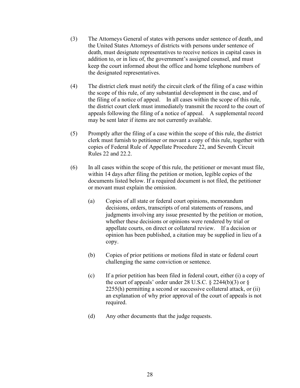- (3) The Attorneys General of states with persons under sentence of death, and the United States Attorneys of districts with persons under sentence of death, must designate representatives to receive notices in capital cases in addition to, or in lieu of, the government's assigned counsel, and must keep the court informed about the office and home telephone numbers of the designated representatives.
- (4) The district clerk must notify the circuit clerk of the filing of a case within the scope of this rule, of any substantial development in the case, and of the filing of a notice of appeal. In all cases within the scope of this rule, the district court clerk must immediately transmit the record to the court of appeals following the filing of a notice of appeal. A supplemental record may be sent later if items are not currently available.
- (5) Promptly after the filing of a case within the scope of this rule, the district clerk must furnish to petitioner or movant a copy of this rule, together with copies of Federal Rule of Appellate Procedure 22, and Seventh Circuit Rules 22 and 22.2.
- (6) In all cases within the scope of this rule, the petitioner or movant must file, within 14 days after filing the petition or motion, legible copies of the documents listed below. If a required document is not filed, the petitioner or movant must explain the omission.
	- (a) Copies of all state or federal court opinions, memorandum decisions, orders, transcripts of oral statements of reasons, and judgments involving any issue presented by the petition or motion, whether these decisions or opinions were rendered by trial or appellate courts, on direct or collateral review. If a decision or opinion has been published, a citation may be supplied in lieu of a copy.
	- (b) Copies of prior petitions or motions filed in state or federal court challenging the same conviction or sentence.
	- (c) If a prior petition has been filed in federal court, either (i) a copy of the court of appeals' order under 28 U.S.C.  $\S$  2244(b)(3) or  $\S$ 2255(h) permitting a second or successive collateral attack, or (ii) an explanation of why prior approval of the court of appeals is not required.
	- (d) Any other documents that the judge requests.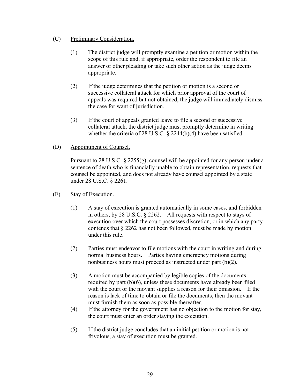- (C) Preliminary Consideration.
	- (1) The district judge will promptly examine a petition or motion within the scope of this rule and, if appropriate, order the respondent to file an answer or other pleading or take such other action as the judge deems appropriate.
	- (2) If the judge determines that the petition or motion is a second or successive collateral attack for which prior approval of the court of appeals was required but not obtained, the judge will immediately dismiss the case for want of jurisdiction.
	- (3) If the court of appeals granted leave to file a second or successive collateral attack, the district judge must promptly determine in writing whether the criteria of 28 U.S.C. § 2244(b)(4) have been satisfied.
- (D) Appointment of Counsel.

Pursuant to 28 U.S.C.  $\S$  2255(g), counsel will be appointed for any person under a sentence of death who is financially unable to obtain representation, requests that counsel be appointed, and does not already have counsel appointed by a state under 28 U.S.C. § 2261.

- (E) Stay of Execution.
	- (1) A stay of execution is granted automatically in some cases, and forbidden in others, by 28 U.S.C. § 2262. All requests with respect to stays of execution over which the court possesses discretion, or in which any party contends that § 2262 has not been followed, must be made by motion under this rule.
	- (2) Parties must endeavor to file motions with the court in writing and during normal business hours. Parties having emergency motions during nonbusiness hours must proceed as instructed under part (b)(2).
	- (3) A motion must be accompanied by legible copies of the documents required by part (b)(6), unless these documents have already been filed with the court or the movant supplies a reason for their omission. If the reason is lack of time to obtain or file the documents, then the movant must furnish them as soon as possible thereafter.
	- (4) If the attorney for the government has no objection to the motion for stay, the court must enter an order staying the execution.
	- (5) If the district judge concludes that an initial petition or motion is not frivolous, a stay of execution must be granted.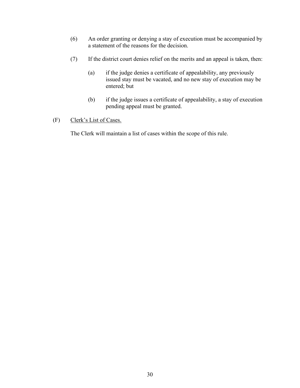- (6) An order granting or denying a stay of execution must be accompanied by a statement of the reasons for the decision.
- (7) If the district court denies relief on the merits and an appeal is taken, then:
	- (a) if the judge denies a certificate of appealability, any previously issued stay must be vacated, and no new stay of execution may be entered; but
	- (b) if the judge issues a certificate of appealability, a stay of execution pending appeal must be granted.
- (F) Clerk's List of Cases.

The Clerk will maintain a list of cases within the scope of this rule.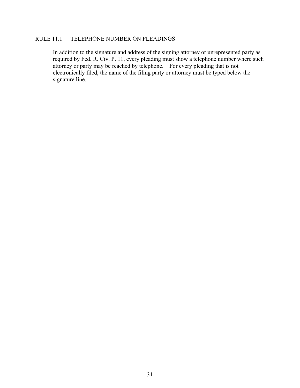#### <span id="page-35-0"></span>RULE 11.1 TELEPHONE NUMBER ON PLEADINGS

In addition to the signature and address of the signing attorney or unrepresented party as required by Fed. R. Civ. P. 11, every pleading must show a telephone number where such attorney or party may be reached by telephone. For every pleading that is not electronically filed, the name of the filing party or attorney must be typed below the signature line.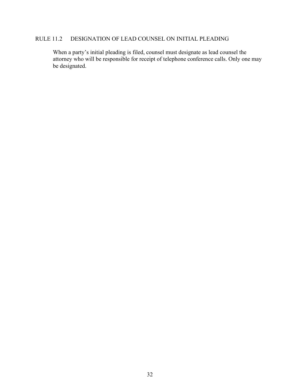# RULE 11.2 DESIGNATION OF LEAD COUNSEL ON INITIAL PLEADING

When a party's initial pleading is filed, counsel must designate as lead counsel the attorney who will be responsible for receipt of telephone conference calls. Only one may be designated.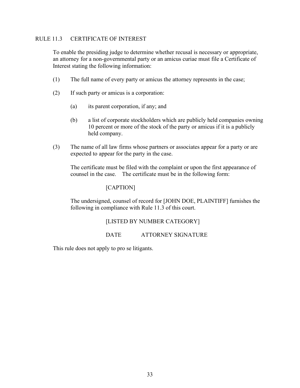## RULE 11.3 CERTIFICATE OF INTEREST

To enable the presiding judge to determine whether recusal is necessary or appropriate, an attorney for a non-governmental party or an amicus curiae must file a Certificate of Interest stating the following information:

- (1) The full name of every party or amicus the attorney represents in the case;
- (2) If such party or amicus is a corporation:
	- (a) its parent corporation, if any; and
	- (b) a list of corporate stockholders which are publicly held companies owning 10 percent or more of the stock of the party or amicus if it is a publicly held company.
- (3) The name of all law firms whose partners or associates appear for a party or are expected to appear for the party in the case.

The certificate must be filed with the complaint or upon the first appearance of counsel in the case. The certificate must be in the following form:

# [CAPTION]

The undersigned, counsel of record for [JOHN DOE, PLAINTIFF] furnishes the following in compliance with Rule 11.3 of this court.

# [LISTED BY NUMBER CATEGORY]

# DATE ATTORNEY SIGNATURE

This rule does not apply to pro se litigants.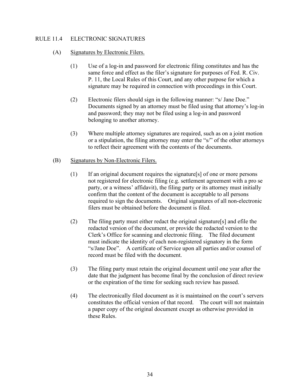## RULE 11.4 ELECTRONIC SIGNATURES

### (A) Signatures by Electronic Filers.

- (1) Use of a log-in and password for electronic filing constitutes and has the same force and effect as the filer's signature for purposes of Fed. R. Civ. P. 11, the Local Rules of this Court, and any other purpose for which a signature may be required in connection with proceedings in this Court.
- (2) Electronic filers should sign in the following manner: "s/ Jane Doe." Documents signed by an attorney must be filed using that attorney's log-in and password; they may not be filed using a log-in and password belonging to another attorney.
- (3) Where multiple attorney signatures are required, such as on a joint motion or a stipulation, the filing attorney may enter the "s/" of the other attorneys to reflect their agreement with the contents of the documents.

## (B) Signatures by Non-Electronic Filers.

- (1) If an original document requires the signature[s] of one or more persons not registered for electronic filing (e.g. settlement agreement with a pro se party, or a witness' affidavit), the filing party or its attorney must initially confirm that the content of the document is acceptable to all persons required to sign the documents. Original signatures of all non-electronic filers must be obtained before the document is filed.
- (2) The filing party must either redact the original signature[s] and efile the redacted version of the document, or provide the redacted version to the Clerk's Office for scanning and electronic filing. The filed document must indicate the identity of each non-registered signatory in the form "s/Jane Doe". A certificate of Service upon all parties and/or counsel of record must be filed with the document.
- (3) The filing party must retain the original document until one year after the date that the judgment has become final by the conclusion of direct review or the expiration of the time for seeking such review has passed.
- (4) The electronically filed document as it is maintained on the court's servers constitutes the official version of that record. The court will not maintain a paper copy of the original document except as otherwise provided in these Rules.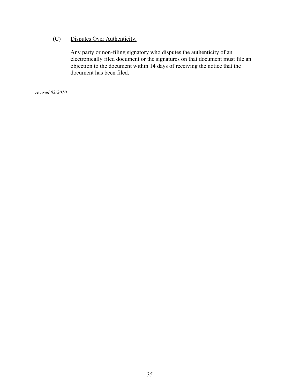# (C) Disputes Over Authenticity.

Any party or non-filing signatory who disputes the authenticity of an electronically filed document or the signatures on that document must file an objection to the document within 14 days of receiving the notice that the document has been filed.

*revised 03/2010*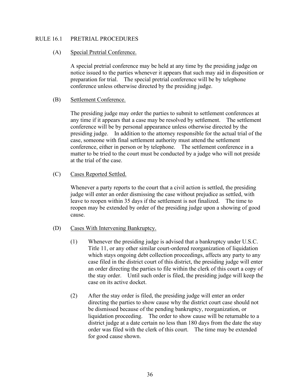### RULE 16.1 PRETRIAL PROCEDURES

### (A) Special Pretrial Conference.

A special pretrial conference may be held at any time by the presiding judge on notice issued to the parties whenever it appears that such may aid in disposition or preparation for trial. The special pretrial conference will be by telephone conference unless otherwise directed by the presiding judge.

## (B) Settlement Conference.

The presiding judge may order the parties to submit to settlement conferences at any time if it appears that a case may be resolved by settlement. The settlement conference will be by personal appearance unless otherwise directed by the presiding judge. In addition to the attorney responsible for the actual trial of the case, someone with final settlement authority must attend the settlement conference, either in person or by telephone. The settlement conference in a matter to be tried to the court must be conducted by a judge who will not preside at the trial of the case.

## (C) Cases Reported Settled.

Whenever a party reports to the court that a civil action is settled, the presiding judge will enter an order dismissing the case without prejudice as settled, with leave to reopen within 35 days if the settlement is not finalized. The time to reopen may be extended by order of the presiding judge upon a showing of good cause.

# (D) Cases With Intervening Bankruptcy.

- (1) Whenever the presiding judge is advised that a bankruptcy under U.S.C. Title 11, or any other similar court-ordered reorganization of liquidation which stays ongoing debt collection proceedings, affects any party to any case filed in the district court of this district, the presiding judge will enter an order directing the parties to file within the clerk of this court a copy of the stay order. Until such order is filed, the presiding judge will keep the case on its active docket.
- (2) After the stay order is filed, the presiding judge will enter an order directing the parties to show cause why the district court case should not be dismissed because of the pending bankruptcy, reorganization, or liquidation proceeding. The order to show cause will be returnable to a district judge at a date certain no less than 180 days from the date the stay order was filed with the clerk of this court. The time may be extended for good cause shown.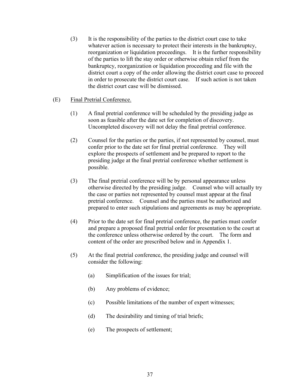(3) It is the responsibility of the parties to the district court case to take whatever action is necessary to protect their interests in the bankruptcy, reorganization or liquidation proceedings. It is the further responsibility of the parties to lift the stay order or otherwise obtain relief from the bankruptcy, reorganization or liquidation proceeding and file with the district court a copy of the order allowing the district court case to proceed in order to prosecute the district court case. If such action is not taken the district court case will be dismissed.

## (E) Final Pretrial Conference.

- (1) A final pretrial conference will be scheduled by the presiding judge as soon as feasible after the date set for completion of discovery. Uncompleted discovery will not delay the final pretrial conference.
- (2) Counsel for the parties or the parties, if not represented by counsel, must confer prior to the date set for final pretrial conference. They will explore the prospects of settlement and be prepared to report to the presiding judge at the final pretrial conference whether settlement is possible.
- (3) The final pretrial conference will be by personal appearance unless otherwise directed by the presiding judge. Counsel who will actually try the case or parties not represented by counsel must appear at the final pretrial conference. Counsel and the parties must be authorized and prepared to enter such stipulations and agreements as may be appropriate.
- (4) Prior to the date set for final pretrial conference, the parties must confer and prepare a proposed final pretrial order for presentation to the court at the conference unless otherwise ordered by the court. The form and content of the order are prescribed below and in Appendix 1.
- (5) At the final pretrial conference, the presiding judge and counsel will consider the following:
	- (a) Simplification of the issues for trial;
	- (b) Any problems of evidence;
	- (c) Possible limitations of the number of expert witnesses;
	- (d) The desirability and timing of trial briefs;
	- (e) The prospects of settlement;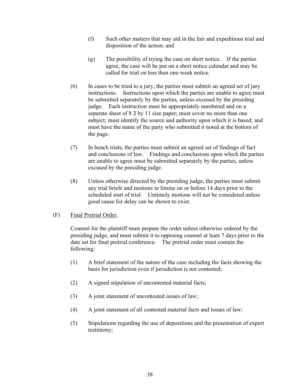- (f) Such other matters that may aid in the fair and expeditious trial and disposition of the action; and
- (g) The possibility of trying the case on short notice. If the parties agree, the case will be put on a short notice calendar and may be called for trial on less than one-week notice.
- (6) In cases to be tried to a jury, the parties must submit an agreed set of jury instructions. Instructions upon which the parties are unable to agree must be submitted separately by the parties, unless excused by the presiding judge. Each instruction must be appropriately numbered and on a separate sheet of 8 2 by 11 size paper; must cover no more than one subject; must identify the source and authority upon which it is based; and must have the name of the party who submitted it noted at the bottom of the page.
- (7) In bench trials, the parties must submit an agreed set of findings of fact and conclusions of law. Findings and conclusions upon which the parties are unable to agree must be submitted separately by the parties, unless excused by the presiding judge.
- (8) Unless otherwise directed by the presiding judge, the parties must submit any trial briefs and motions in limine on or before 14 days prior to the scheduled start of trial. Untimely motions will not be considered unless good cause for delay can be shown to exist.
- (F) Final Pretrial Order.

Counsel for the plaintiff must prepare the order unless otherwise ordered by the presiding judge, and must submit it to opposing counsel at least 7 days prior to the date set for final pretrial conference. The pretrial order must contain the following:

- (1) A brief statement of the nature of the case including the facts showing the basis for jurisdiction even if jurisdiction is not contested;
- (2) A signed stipulation of uncontested material facts;
- (3) A joint statement of uncontested issues of law;
- (4) A joint statement of all contested material facts and issues of law;
- (5) Stipulations regarding the use of depositions and the presentation of expert testimony;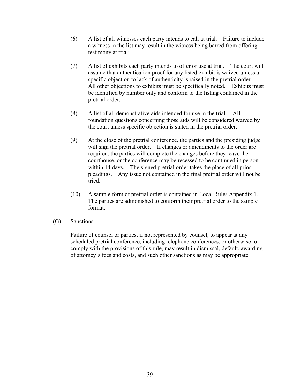- (6) A list of all witnesses each party intends to call at trial. Failure to include a witness in the list may result in the witness being barred from offering testimony at trial;
- (7) A list of exhibits each party intends to offer or use at trial. The court will assume that authentication proof for any listed exhibit is waived unless a specific objection to lack of authenticity is raised in the pretrial order. All other objections to exhibits must be specifically noted. Exhibits must be identified by number only and conform to the listing contained in the pretrial order;
- (8) A list of all demonstrative aids intended for use in the trial. All foundation questions concerning those aids will be considered waived by the court unless specific objection is stated in the pretrial order.
- (9) At the close of the pretrial conference, the parties and the presiding judge will sign the pretrial order. If changes or amendments to the order are required, the parties will complete the changes before they leave the courthouse, or the conference may be recessed to be continued in person within 14 days. The signed pretrial order takes the place of all prior pleadings. Any issue not contained in the final pretrial order will not be tried.
- (10) A sample form of pretrial order is contained in Local Rules Appendix 1. The parties are admonished to conform their pretrial order to the sample format.
- (G) Sanctions.

Failure of counsel or parties, if not represented by counsel, to appear at any scheduled pretrial conference, including telephone conferences, or otherwise to comply with the provisions of this rule, may result in dismissal, default, awarding of attorney's fees and costs, and such other sanctions as may be appropriate.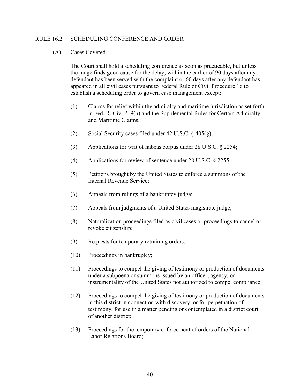#### RULE 16.2 SCHEDULING CONFERENCE AND ORDER

#### (A) Cases Covered.

The Court shall hold a scheduling conference as soon as practicable, but unless the judge finds good cause for the delay, within the earlier of 90 days after any defendant has been served with the complaint or 60 days after any defendant has appeared in all civil cases pursuant to Federal Rule of Civil Procedure 16 to establish a scheduling order to govern case management except:

- (1) Claims for relief within the admiralty and maritime jurisdiction as set forth in Fed. R. Civ. P. 9(h) and the Supplemental Rules for Certain Admiralty and Maritime Claims;
- (2) Social Security cases filed under 42 U.S.C.  $\frac{6}{9}$  405(g);
- (3) Applications for writ of habeas corpus under 28 U.S.C. § 2254;
- (4) Applications for review of sentence under 28 U.S.C. § 2255;
- (5) Petitions brought by the United States to enforce a summons of the Internal Revenue Service;
- (6) Appeals from rulings of a bankruptcy judge;
- (7) Appeals from judgments of a United States magistrate judge;
- (8) Naturalization proceedings filed as civil cases or proceedings to cancel or revoke citizenship;
- (9) Requests for temporary retraining orders;
- (10) Proceedings in bankruptcy;
- (11) Proceedings to compel the giving of testimony or production of documents under a subpoena or summons issued by an officer; agency, or instrumentality of the United States not authorized to compel compliance;
- (12) Proceedings to compel the giving of testimony or production of documents in this district in connection with discovery, or for perpetuation of testimony, for use in a matter pending or contemplated in a district court of another district;
- (13) Proceedings for the temporary enforcement of orders of the National Labor Relations Board;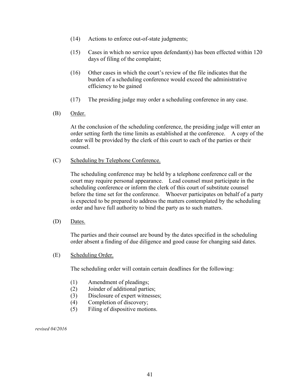- (14) Actions to enforce out-of-state judgments;
- (15) Cases in which no service upon defendant(s) has been effected within 120 days of filing of the complaint;
- (16) Other cases in which the court's review of the file indicates that the burden of a scheduling conference would exceed the administrative efficiency to be gained
- (17) The presiding judge may order a scheduling conference in any case.
- (B) Order.

At the conclusion of the scheduling conference, the presiding judge will enter an order setting forth the time limits as established at the conference. A copy of the order will be provided by the clerk of this court to each of the parties or their counsel.

(C) Scheduling by Telephone Conference.

The scheduling conference may be held by a telephone conference call or the court may require personal appearance. Lead counsel must participate in the scheduling conference or inform the clerk of this court of substitute counsel before the time set for the conference. Whoever participates on behalf of a party is expected to be prepared to address the matters contemplated by the scheduling order and have full authority to bind the party as to such matters.

(D) Dates.

The parties and their counsel are bound by the dates specified in the scheduling order absent a finding of due diligence and good cause for changing said dates.

(E) Scheduling Order.

The scheduling order will contain certain deadlines for the following:

- (1) Amendment of pleadings;
- (2) Joinder of additional parties;
- (3) Disclosure of expert witnesses;
- (4) Completion of discovery;
- (5) Filing of dispositive motions.

*revised 04/2016*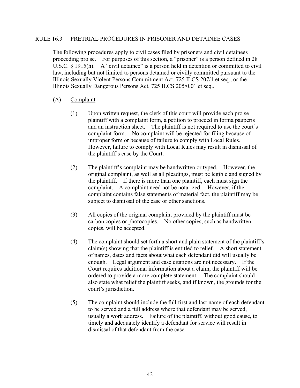### RULE 16.3 PRETRIAL PROCEDURES IN PRISONER AND DETAINEE CASES

The following procedures apply to civil cases filed by prisoners and civil detainees proceeding pro se. For purposes of this section, a "prisoner" is a person defined in 28 U.S.C. § 1915(h). A "civil detainee" is a person held in detention or committed to civil law, including but not limited to persons detained or civilly committed pursuant to the Illinois Sexually Violent Persons Commitment Act, 725 ILCS 207/1 et seq., or the Illinois Sexually Dangerous Persons Act, 725 ILCS 205/0.01 et seq..

- (A) Complaint
	- (1) Upon written request, the clerk of this court will provide each pro se plaintiff with a complaint form, a petition to proceed in forma pauperis and an instruction sheet. The plaintiff is not required to use the court's complaint form. No complaint will be rejected for filing because of improper form or because of failure to comply with Local Rules. However, failure to comply with Local Rules may result in dismissal of the plaintiff's case by the Court.
	- (2) The plaintiff's complaint may be handwritten or typed. However, the original complaint, as well as all pleadings, must be legible and signed by the plaintiff. If there is more than one plaintiff, each must sign the complaint. A complaint need not be notarized. However, if the complaint contains false statements of material fact, the plaintiff may be subject to dismissal of the case or other sanctions.
	- (3) All copies of the original complaint provided by the plaintiff must be carbon copies or photocopies. No other copies, such as handwritten copies, will be accepted.
	- (4) The complaint should set forth a short and plain statement of the plaintiff's claim(s) showing that the plaintiff is entitled to relief. A short statement of names, dates and facts about what each defendant did will usually be enough. Legal argument and case citations are not necessary. If the Court requires additional information about a claim, the plaintiff will be ordered to provide a more complete statement. The complaint should also state what relief the plaintiff seeks, and if known, the grounds for the court's jurisdiction.
	- (5) The complaint should include the full first and last name of each defendant to be served and a full address where that defendant may be served, usually a work address. Failure of the plaintiff, without good cause, to timely and adequately identify a defendant for service will result in dismissal of that defendant from the case.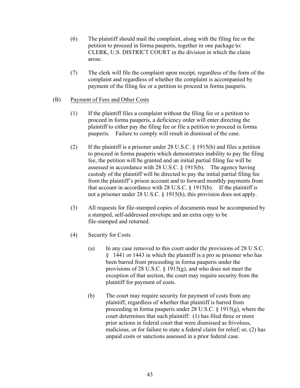- (6) The plaintiff should mail the complaint, along with the filing fee or the petition to proceed in forma pauperis, together in one package to: CLERK, U.S. DISTRICT COURT in the division in which the claim arose.
- (7) The clerk will file the complaint upon receipt, regardless of the form of the complaint and regardless of whether the complaint is accompanied by payment of the filing fee or a petition to proceed in forma pauperis.

## (B) Payment of Fees and Other Costs

- (1) If the plaintiff files a complaint without the filing fee or a petition to proceed in forma pauperis, a deficiency order will enter directing the plaintiff to either pay the filing fee or file a petition to proceed in forma pauperis. Failure to comply will result in dismissal of the case.
- (2) If the plaintiff is a prisoner under 28 U.S.C. § 1915(h) and files a petition to proceed in forma pauperis which demonstrates inability to pay the filing fee, the petition will be granted and an initial partial filing fee will be assessed in accordance with 28 U.S.C. § 1915(b). The agency having custody of the plaintiff will be directed to pay the initial partial filing fee from the plaintiff's prison account and to forward monthly payments from that account in accordance with  $28$  U.S.C. § 1915(b). If the plaintiff is not a prisoner under 28 U.S.C. § 1915(h), this provision does not apply.
- (3) All requests for file-stamped copies of documents must be accompanied by a stamped, self-addressed envelope and an extra copy to be file-stamped and returned.
- (4) Security for Costs
	- (a) In any case removed to this court under the provisions of 28 U.S.C. § 1441 or 1443 in which the plaintiff is a pro se prisoner who has been barred from proceeding in forma pauperis under the provisions of 28 U.S.C. § 1915(g), and who does not meet the exception of that section, the court may require security from the plaintiff for payment of costs.
	- (b) The court may require security for payment of costs from any plaintiff, regardless of whether that plaintiff is barred from proceeding in forma pauperis under 28 U.S.C. § 1915(g), where the court determines that such plaintiff: (1) has filed three or more prior actions in federal court that were dismissed as frivolous, malicious, or for failure to state a federal claim for relief; or, (2) has unpaid costs or sanctions assessed in a prior federal case.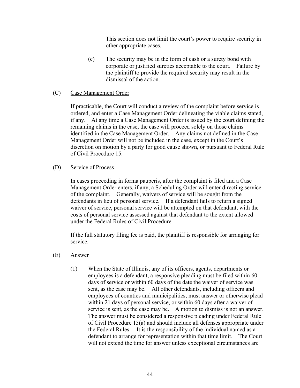This section does not limit the court's power to require security in other appropriate cases.

(c) The security may be in the form of cash or a surety bond with corporate or justified sureties acceptable to the court. Failure by the plaintiff to provide the required security may result in the dismissal of the action.

# (C) Case Management Order

If practicable, the Court will conduct a review of the complaint before service is ordered, and enter a Case Management Order delineating the viable claims stated, if any. At any time a Case Management Order is issued by the court defining the remaining claims in the case, the case will proceed solely on those claims identified in the Case Management Order. Any claims not defined in the Case Management Order will not be included in the case, except in the Court's discretion on motion by a party for good cause shown, or pursuant to Federal Rule of Civil Procedure 15.

## (D) Service of Process

In cases proceeding in forma pauperis, after the complaint is filed and a Case Management Order enters, if any, a Scheduling Order will enter directing service of the complaint. Generally, waivers of service will be sought from the defendants in lieu of personal service. If a defendant fails to return a signed waiver of service, personal service will be attempted on that defendant, with the costs of personal service assessed against that defendant to the extent allowed under the Federal Rules of Civil Procedure.

If the full statutory filing fee is paid, the plaintiff is responsible for arranging for service.

### (E) Answer

(1) When the State of Illinois, any of its officers, agents, departments or employees is a defendant, a responsive pleading must be filed within 60 days of service or within 60 days of the date the waiver of service was sent, as the case may be. All other defendants, including officers and employees of counties and municipalities, must answer or otherwise plead within 21 days of personal service, or within 60 days after a waiver of service is sent, as the case may be. A motion to dismiss is not an answer. The answer must be considered a responsive pleading under Federal Rule of Civil Procedure 15(a) and should include all defenses appropriate under the Federal Rules. It is the responsibility of the individual named as a defendant to arrange for representation within that time limit. The Court will not extend the time for answer unless exceptional circumstances are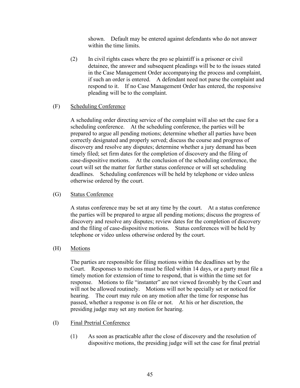shown. Default may be entered against defendants who do not answer within the time limits.

(2) In civil rights cases where the pro se plaintiff is a prisoner or civil detainee, the answer and subsequent pleadings will be to the issues stated in the Case Management Order accompanying the process and complaint, if such an order is entered. A defendant need not parse the complaint and respond to it. If no Case Management Order has entered, the responsive pleading will be to the complaint.

## (F) Scheduling Conference

A scheduling order directing service of the complaint will also set the case for a scheduling conference. At the scheduling conference, the parties will be prepared to argue all pending motions; determine whether all parties have been correctly designated and properly served; discuss the course and progress of discovery and resolve any disputes; determine whether a jury demand has been timely filed; set firm dates for the completion of discovery and the filing of case-dispositive motions. At the conclusion of the scheduling conference, the court will set the matter for further status conference or will set scheduling deadlines. Scheduling conferences will be held by telephone or video unless otherwise ordered by the court.

### (G) Status Conference

A status conference may be set at any time by the court. At a status conference the parties will be prepared to argue all pending motions; discuss the progress of discovery and resolve any disputes; review dates for the completion of discovery and the filing of case-dispositive motions. Status conferences will be held by telephone or video unless otherwise ordered by the court.

### (H) Motions

The parties are responsible for filing motions within the deadlines set by the Court. Responses to motions must be filed within 14 days, or a party must file a timely motion for extension of time to respond, that is within the time set for response. Motions to file "instanter" are not viewed favorably by the Court and will not be allowed routinely. Motions will not be specially set or noticed for hearing. The court may rule on any motion after the time for response has passed, whether a response is on file or not. At his or her discretion, the presiding judge may set any motion for hearing.

### (I) Final Pretrial Conference

(1) As soon as practicable after the close of discovery and the resolution of dispositive motions, the presiding judge will set the case for final pretrial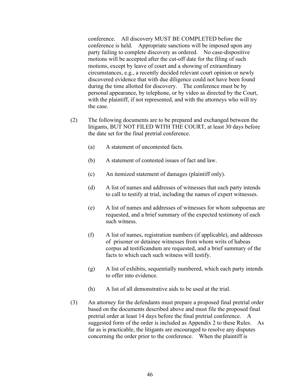conference. All discovery MUST BE COMPLETED before the conference is held. Appropriate sanctions will be imposed upon any party failing to complete discovery as ordered. No case-dispositive motions will be accepted after the cut-off date for the filing of such motions, except by leave of court and a showing of extraordinary circumstances, e.g., a recently decided relevant court opinion or newly discovered evidence that with due diligence could not have been found during the time allotted for discovery. The conference must be by personal appearance, by telephone, or by video as directed by the Court, with the plaintiff, if not represented, and with the attorneys who will try the case.

- (2) The following documents are to be prepared and exchanged between the litigants, BUT NOT FILED WITH THE COURT, at least 30 days before the date set for the final pretrial conference.
	- (a) A statement of uncontested facts.
	- (b) A statement of contested issues of fact and law.
	- (c) An itemized statement of damages (plaintiff only).
	- (d) A list of names and addresses of witnesses that each party intends to call to testify at trial, including the names of expert witnesses.
	- (e) A list of names and addresses of witnesses for whom subpoenas are requested, and a brief summary of the expected testimony of each such witness.
	- (f) A list of names, registration numbers (if applicable), and addresses of prisoner or detainee witnesses from whom writs of habeas corpus ad testificandum are requested, and a brief summary of the facts to which each such witness will testify.
	- (g) A list of exhibits, sequentially numbered, which each party intends to offer into evidence.
	- (h) A list of all demonstrative aids to be used at the trial.
- (3) An attorney for the defendants must prepare a proposed final pretrial order based on the documents described above and must file the proposed final pretrial order at least 14 days before the final pretrial conference. A suggested form of the order is included as Appendix 2 to these Rules. As far as is practicable, the litigants are encouraged to resolve any disputes concerning the order prior to the conference. When the plaintiff is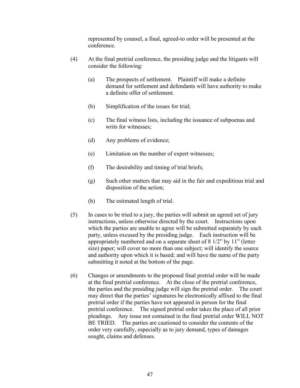represented by counsel, a final, agreed-to order will be presented at the conference.

- (4) At the final pretrial conference, the presiding judge and the litigants will consider the following:
	- (a) The prospects of settlement. Plaintiff will make a definite demand for settlement and defendants will have authority to make a definite offer of settlement.
	- (b) Simplification of the issues for trial;
	- (c) The final witness lists, including the issuance of subpoenas and writs for witnesses;
	- (d) Any problems of evidence;
	- (e) Limitation on the number of expert witnesses;
	- (f) The desirability and timing of trial briefs;
	- (g) Such other matters that may aid in the fair and expeditious trial and disposition of the action;
	- (h) The estimated length of trial.
- (5) In cases to be tried to a jury, the parties will submit an agreed set of jury instructions, unless otherwise directed by the court. Instructions upon which the parties are unable to agree will be submitted separately by each party, unless excused by the presiding judge. Each instruction will be appropriately numbered and on a separate sheet of 8 1/2" by 11" (letter size) paper; will cover no more than one subject; will identify the source and authority upon which it is based; and will have the name of the party submitting it noted at the bottom of the page.
- (6) Changes or amendments to the proposed final pretrial order will be made at the final pretrial conference. At the close of the pretrial conference, the parties and the presiding judge will sign the pretrial order. The court may direct that the parties' signatures be electronically affixed to the final pretrial order if the parties have not appeared in person for the final pretrial conference. The signed pretrial order takes the place of all prior pleadings. Any issue not contained in the final pretrial order WILL NOT BE TRIED. The parties are cautioned to consider the contents of the order very carefully, especially as to jury demand, types of damages sought, claims and defenses.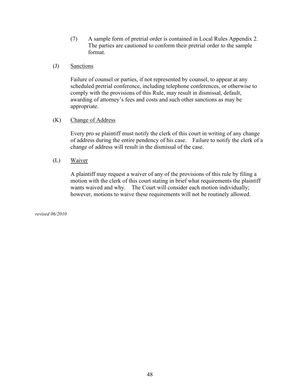- (7) A sample form of pretrial order is contained in Local Rules Appendix 2. The parties are cautioned to conform their pretrial order to the sample format.
- (J) Sanctions

Failure of counsel or parties, if not represented by counsel, to appear at any scheduled pretrial conference, including telephone conferences, or otherwise to comply with the provisions of this Rule, may result in dismissal, default, awarding of attorney's fees and costs and such other sanctions as may be appropriate.

## (K) Change of Address

Every pro se plaintiff must notify the clerk of this court in writing of any change of address during the entire pendency of his case. Failure to notify the clerk of a change of address will result in the dismissal of the case.

(L) Waiver

A plaintiff may request a waiver of any of the provisions of this rule by filing a motion with the clerk of this court stating in brief what requirements the plaintiff wants waived and why. The Court will consider each motion individually; however, motions to waive these requirements will not be routinely allowed.

*revised 06/2010*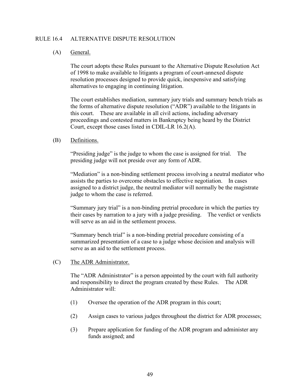### RULE 16.4 ALTERNATIVE DISPUTE RESOLUTION

#### (A) General.

The court adopts these Rules pursuant to the Alternative Dispute Resolution Act of 1998 to make available to litigants a program of court-annexed dispute resolution processes designed to provide quick, inexpensive and satisfying alternatives to engaging in continuing litigation.

The court establishes mediation, summary jury trials and summary bench trials as the forms of alternative dispute resolution ("ADR") available to the litigants in this court. These are available in all civil actions, including adversary proceedings and contested matters in Bankruptcy being heard by the District Court, except those cases listed in CDIL-LR 16.2(A).

(B) Definitions.

"Presiding judge" is the judge to whom the case is assigned for trial. The presiding judge will not preside over any form of ADR.

"Mediation" is a non-binding settlement process involving a neutral mediator who assists the parties to overcome obstacles to effective negotiation. In cases assigned to a district judge, the neutral mediator will normally be the magistrate judge to whom the case is referred.

"Summary jury trial" is a non-binding pretrial procedure in which the parties try their cases by narration to a jury with a judge presiding. The verdict or verdicts will serve as an aid in the settlement process.

"Summary bench trial" is a non-binding pretrial procedure consisting of a summarized presentation of a case to a judge whose decision and analysis will serve as an aid to the settlement process.

(C) The ADR Administrator.

The "ADR Administrator" is a person appointed by the court with full authority and responsibility to direct the program created by these Rules. The ADR Administrator will:

- (1) Oversee the operation of the ADR program in this court;
- (2) Assign cases to various judges throughout the district for ADR processes;
- (3) Prepare application for funding of the ADR program and administer any funds assigned; and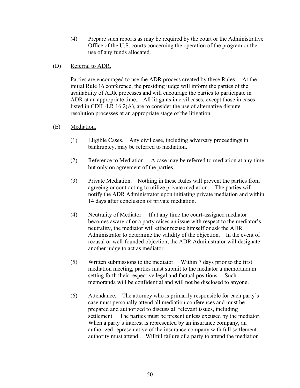- (4) Prepare such reports as may be required by the court or the Administrative Office of the U.S. courts concerning the operation of the program or the use of any funds allocated.
- (D) Referral to ADR.

Parties are encouraged to use the ADR process created by these Rules. At the initial Rule 16 conference, the presiding judge will inform the parties of the availability of ADR processes and will encourage the parties to participate in ADR at an appropriate time. All litigants in civil cases, except those in cases listed in CDIL-LR 16.2(A), are to consider the use of alternative dispute resolution processes at an appropriate stage of the litigation.

- (E) Mediation.
	- (1) Eligible Cases. Any civil case, including adversary proceedings in bankruptcy, may be referred to mediation.
	- (2) Reference to Mediation. A case may be referred to mediation at any time but only on agreement of the parties.
	- (3) Private Mediation. Nothing in these Rules will prevent the parties from agreeing or contracting to utilize private mediation. The parties will notify the ADR Administrator upon initiating private mediation and within 14 days after conclusion of private mediation.
	- (4) Neutrality of Mediator. If at any time the court-assigned mediator becomes aware of or a party raises an issue with respect to the mediator's neutrality, the mediator will either recuse himself or ask the ADR Administrator to determine the validity of the objection. In the event of recusal or well-founded objection, the ADR Administrator will designate another judge to act as mediator.
	- (5) Written submissions to the mediator. Within 7 days prior to the first mediation meeting, parties must submit to the mediator a memorandum setting forth their respective legal and factual positions. Such memoranda will be confidential and will not be disclosed to anyone.
	- (6) Attendance. The attorney who is primarily responsible for each party's case must personally attend all mediation conferences and must be prepared and authorized to discuss all relevant issues, including settlement. The parties must be present unless excused by the mediator. When a party's interest is represented by an insurance company, an authorized representative of the insurance company with full settlement authority must attend. Willful failure of a party to attend the mediation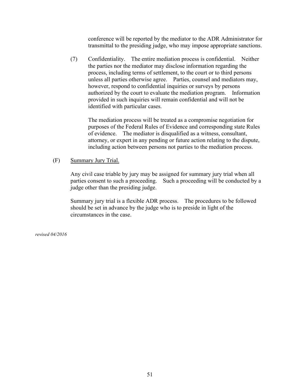conference will be reported by the mediator to the ADR Administrator for transmittal to the presiding judge, who may impose appropriate sanctions.

(7) Confidentiality. The entire mediation process is confidential. Neither the parties nor the mediator may disclose information regarding the process, including terms of settlement, to the court or to third persons unless all parties otherwise agree. Parties, counsel and mediators may, however, respond to confidential inquiries or surveys by persons authorized by the court to evaluate the mediation program. Information provided in such inquiries will remain confidential and will not be identified with particular cases.

The mediation process will be treated as a compromise negotiation for purposes of the Federal Rules of Evidence and corresponding state Rules of evidence. The mediator is disqualified as a witness, consultant, attorney, or expert in any pending or future action relating to the dispute, including action between persons not parties to the mediation process.

## (F) Summary Jury Trial.

Any civil case triable by jury may be assigned for summary jury trial when all parties consent to such a proceeding. Such a proceeding will be conducted by a judge other than the presiding judge.

Summary jury trial is a flexible ADR process. The procedures to be followed should be set in advance by the judge who is to preside in light of the circumstances in the case.

*revised 04/2016*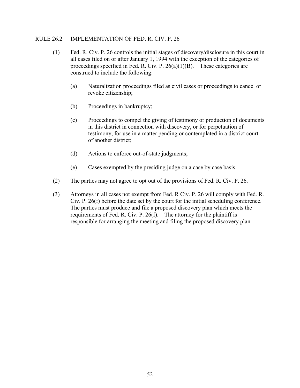### RULE 26.2 IMPLEMENTATION OF FED. R. CIV. P. 26

- (1) Fed. R. Civ. P. 26 controls the initial stages of discovery/disclosure in this court in all cases filed on or after January 1, 1994 with the exception of the categories of proceedings specified in Fed. R. Civ. P.  $26(a)(1)(B)$ . These categories are construed to include the following:
	- (a) Naturalization proceedings filed as civil cases or proceedings to cancel or revoke citizenship;
	- (b) Proceedings in bankruptcy;
	- (c) Proceedings to compel the giving of testimony or production of documents in this district in connection with discovery, or for perpetuation of testimony, for use in a matter pending or contemplated in a district court of another district;
	- (d) Actions to enforce out-of-state judgments;
	- (e) Cases exempted by the presiding judge on a case by case basis.
- (2) The parties may not agree to opt out of the provisions of Fed. R. Civ. P. 26.
- (3) Attorneys in all cases not exempt from Fed. R Civ. P. 26 will comply with Fed. R. Civ. P. 26(f) before the date set by the court for the initial scheduling conference. The parties must produce and file a proposed discovery plan which meets the requirements of Fed. R. Civ. P. 26(f). The attorney for the plaintiff is responsible for arranging the meeting and filing the proposed discovery plan.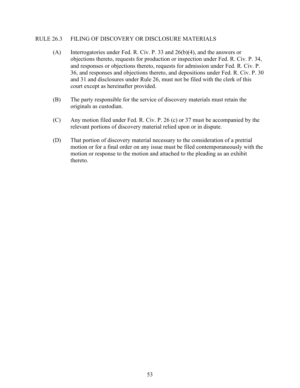### RULE 26.3 FILING OF DISCOVERY OR DISCLOSURE MATERIALS

- (A) Interrogatories under Fed. R. Civ. P. 33 and 26(b)(4), and the answers or objections thereto, requests for production or inspection under Fed. R. Civ. P. 34, and responses or objections thereto, requests for admission under Fed. R. Civ. P. 36, and responses and objections thereto, and depositions under Fed. R. Civ. P. 30 and 31 and disclosures under Rule 26, must not be filed with the clerk of this court except as hereinafter provided.
- (B) The party responsible for the service of discovery materials must retain the originals as custodian.
- (C) Any motion filed under Fed. R. Civ. P. 26 (c) or 37 must be accompanied by the relevant portions of discovery material relied upon or in dispute.
- (D) That portion of discovery material necessary to the consideration of a pretrial motion or for a final order on any issue must be filed contemporaneously with the motion or response to the motion and attached to the pleading as an exhibit thereto.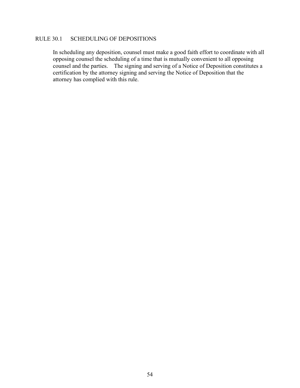# RULE 30.1 SCHEDULING OF DEPOSITIONS

In scheduling any deposition, counsel must make a good faith effort to coordinate with all opposing counsel the scheduling of a time that is mutually convenient to all opposing counsel and the parties. The signing and serving of a Notice of Deposition constitutes a certification by the attorney signing and serving the Notice of Deposition that the attorney has complied with this rule.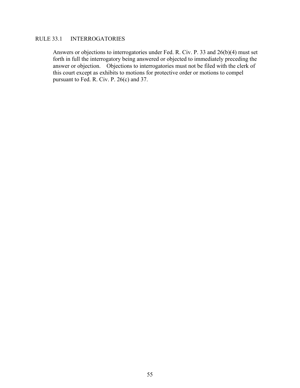# RULE 33.1 INTERROGATORIES

Answers or objections to interrogatories under Fed. R. Civ. P. 33 and 26(b)(4) must set forth in full the interrogatory being answered or objected to immediately preceding the answer or objection. Objections to interrogatories must not be filed with the clerk of this court except as exhibits to motions for protective order or motions to compel pursuant to Fed. R. Civ. P. 26(c) and 37.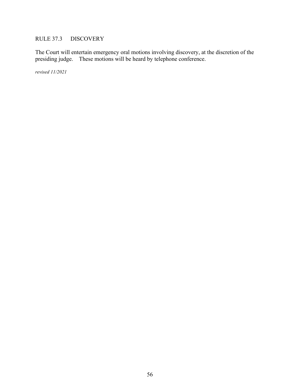# RULE 37.3 DISCOVERY

The Court will entertain emergency oral motions involving discovery, at the discretion of the presiding judge. These motions will be heard by telephone conference.

*revised 11/2021*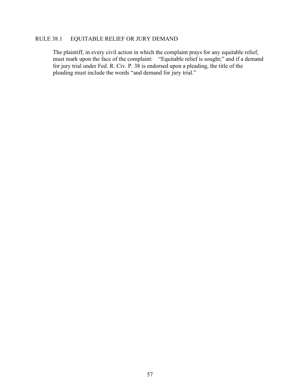# RULE 38.1 EQUITABLE RELIEF OR JURY DEMAND

The plaintiff, in every civil action in which the complaint prays for any equitable relief, must mark upon the face of the complaint: "Equitable relief is sought;" and if a demand for jury trial under Fed. R. Civ. P. 38 is endorsed upon a pleading, the title of the pleading must include the words "and demand for jury trial."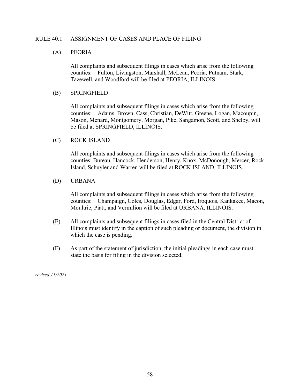### RULE 40.1 ASSIGNMENT OF CASES AND PLACE OF FILING

### (A) PEORIA

All complaints and subsequent filings in cases which arise from the following counties: Fulton, Livingston, Marshall, McLean, Peoria, Putnam, Stark, Tazewell, and Woodford will be filed at PEORIA, ILLINOIS.

#### (B) SPRINGFIELD

All complaints and subsequent filings in cases which arise from the following counties: Adams, Brown, Cass, Christian, DeWitt, Greene, Logan, Macoupin, Mason, Menard, Montgomery, Morgan, Pike, Sangamon, Scott, and Shelby, will be filed at SPRINGFIELD, ILLINOIS.

#### (C) ROCK ISLAND

All complaints and subsequent filings in cases which arise from the following counties: Bureau, Hancock, Henderson, Henry, Knox, McDonough, Mercer, Rock Island, Schuyler and Warren will be filed at ROCK ISLAND, ILLINOIS.

## (D) URBANA

All complaints and subsequent filings in cases which arise from the following counties: Champaign, Coles, Douglas, Edgar, Ford, Iroquois, Kankakee, Macon, Moultrie, Piatt, and Vermilion will be filed at URBANA, ILLINOIS.

- (E) All complaints and subsequent filings in cases filed in the Central District of Illinois must identify in the caption of such pleading or document, the division in which the case is pending.
- (F) As part of the statement of jurisdiction, the initial pleadings in each case must state the basis for filing in the division selected.

*revised 11/2021*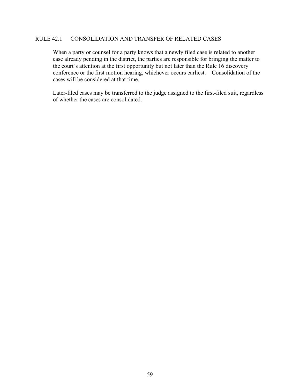# RULE 42.1 CONSOLIDATION AND TRANSFER OF RELATED CASES

When a party or counsel for a party knows that a newly filed case is related to another case already pending in the district, the parties are responsible for bringing the matter to the court's attention at the first opportunity but not later than the Rule 16 discovery conference or the first motion hearing, whichever occurs earliest. Consolidation of the cases will be considered at that time.

Later-filed cases may be transferred to the judge assigned to the first-filed suit, regardless of whether the cases are consolidated.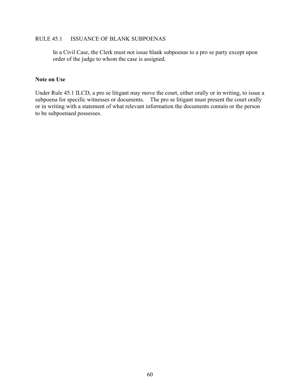# RULE 45.1 ISSUANCE OF BLANK SUBPOENAS

In a Civil Case, the Clerk must not issue blank subpoenas to a pro se party except upon order of the judge to whom the case is assigned.

### **Note on Use**

Under Rule 45.1 ILCD, a pro se litigant may move the court, either orally or in writing, to issue a subpoena for specific witnesses or documents. The pro se litigant must present the court orally or in writing with a statement of what relevant information the documents contain or the person to be subpoenaed possesses.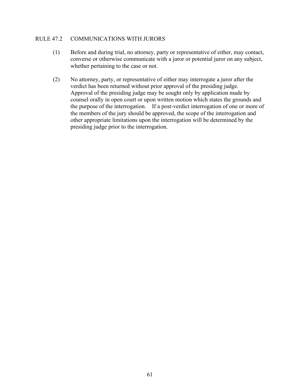## RULE 47.2 COMMUNICATIONS WITH JURORS

- (1) Before and during trial, no attorney, party or representative of either, may contact, converse or otherwise communicate with a juror or potential juror on any subject, whether pertaining to the case or not.
- (2) No attorney, party, or representative of either may interrogate a juror after the verdict has been returned without prior approval of the presiding judge. Approval of the presiding judge may be sought only by application made by counsel orally in open court or upon written motion which states the grounds and the purpose of the interrogation. If a post-verdict interrogation of one or more of the members of the jury should be approved, the scope of the interrogation and other appropriate limitations upon the interrogation will be determined by the presiding judge prior to the interrogation.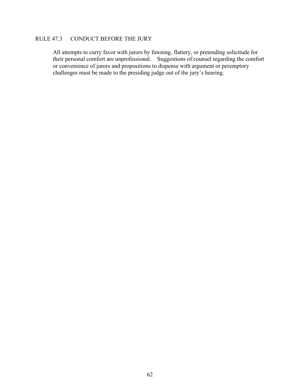# RULE 47.3 CONDUCT BEFORE THE JURY

All attempts to curry favor with jurors by fawning, flattery, or pretending solicitude for their personal comfort are unprofessional. Suggestions of counsel regarding the comfort or convenience of jurors and propositions to dispense with argument or peremptory challenges must be made to the presiding judge out of the jury's hearing.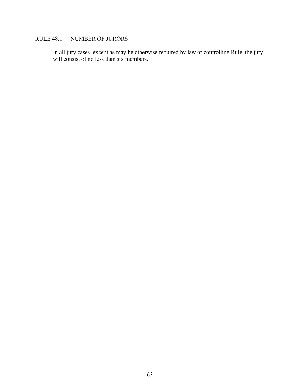# RULE 48.1 NUMBER OF JURORS

In all jury cases, except as may be otherwise required by law or controlling Rule, the jury will consist of no less than six members.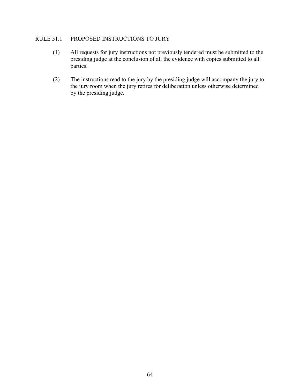# RULE 51.1 PROPOSED INSTRUCTIONS TO JURY

- (1) All requests for jury instructions not previously tendered must be submitted to the presiding judge at the conclusion of all the evidence with copies submitted to all parties.
- (2) The instructions read to the jury by the presiding judge will accompany the jury to the jury room when the jury retires for deliberation unless otherwise determined by the presiding judge.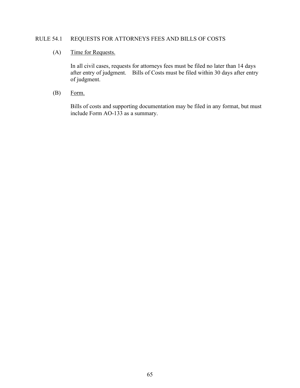# RULE 54.1 REQUESTS FOR ATTORNEYS FEES AND BILLS OF COSTS

# (A) Time for Requests.

In all civil cases, requests for attorneys fees must be filed no later than 14 days after entry of judgment. Bills of Costs must be filed within 30 days after entry of judgment.

(B) Form.

Bills of costs and supporting documentation may be filed in any format, but must include Form AO-133 as a summary.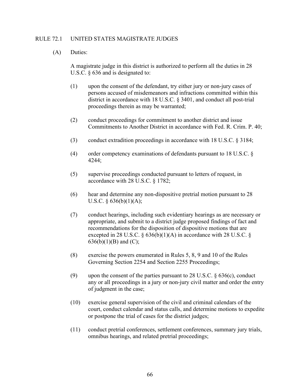### RULE 72.1 UNITED STATES MAGISTRATE JUDGES

#### (A) Duties:

A magistrate judge in this district is authorized to perform all the duties in 28 U.S.C. § 636 and is designated to:

- (1) upon the consent of the defendant, try either jury or non-jury cases of persons accused of misdemeanors and infractions committed within this district in accordance with 18 U.S.C. § 3401, and conduct all post-trial proceedings therein as may be warranted;
- (2) conduct proceedings for commitment to another district and issue Commitments to Another District in accordance with Fed. R. Crim. P. 40;
- (3) conduct extradition proceedings in accordance with 18 U.S.C. § 3184;
- (4) order competency examinations of defendants pursuant to 18 U.S.C. § 4244;
- (5) supervise proceedings conducted pursuant to letters of request, in accordance with 28 U.S.C. § 1782;
- (6) hear and determine any non-dispositive pretrial motion pursuant to 28 U.S.C.  $\S$  636(b)(1)(A);
- (7) conduct hearings, including such evidentiary hearings as are necessary or appropriate, and submit to a district judge proposed findings of fact and recommendations for the disposition of dispositive motions that are excepted in 28 U.S.C.  $\S$  636(b)(1)(A) in accordance with 28 U.S.C.  $\S$  $636(b)(1)(B)$  and  $(C)$ ;
- (8) exercise the powers enumerated in Rules 5, 8, 9 and 10 of the Rules Governing Section 2254 and Section 2255 Proceedings;
- (9) upon the consent of the parties pursuant to 28 U.S.C.  $\S 636(c)$ , conduct any or all proceedings in a jury or non-jury civil matter and order the entry of judgment in the case;
- (10) exercise general supervision of the civil and criminal calendars of the court, conduct calendar and status calls, and determine motions to expedite or postpone the trial of cases for the district judges;
- (11) conduct pretrial conferences, settlement conferences, summary jury trials, omnibus hearings, and related pretrial proceedings;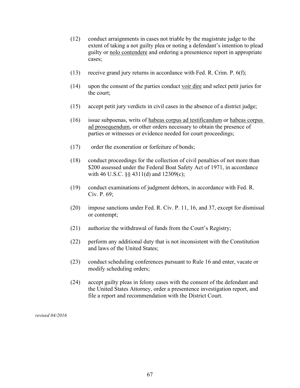- (12) conduct arraignments in cases not triable by the magistrate judge to the extent of taking a not guilty plea or noting a defendant's intention to plead guilty or nolo contendere and ordering a presentence report in appropriate cases;
- (13) receive grand jury returns in accordance with Fed. R. Crim. P. 6(f);
- (14) upon the consent of the parties conduct voir dire and select petit juries for the court;
- (15) accept petit jury verdicts in civil cases in the absence of a district judge;
- (16) issue subpoenas, writs of habeas corpus ad testificandum or habeas corpus ad prosequendum, or other orders necessary to obtain the presence of parties or witnesses or evidence needed for court proceedings;
- (17) order the exoneration or forfeiture of bonds;
- (18) conduct proceedings for the collection of civil penalties of not more than \$200 assessed under the Federal Boat Safety Act of 1971, in accordance with 46 U.S.C. §§ 4311(d) and 12309(c);
- (19) conduct examinations of judgment debtors, in accordance with Fed. R. Civ. P. 69;
- (20) impose sanctions under Fed. R. Civ. P. 11, 16, and 37, except for dismissal or contempt;
- (21) authorize the withdrawal of funds from the Court's Registry;
- (22) perform any additional duty that is not inconsistent with the Constitution and laws of the United States;
- (23) conduct scheduling conferences pursuant to Rule 16 and enter, vacate or modify scheduling orders;
- (24) accept guilty pleas in felony cases with the consent of the defendant and the United States Attorney, order a presentence investigation report, and file a report and recommendation with the District Court.

*revised 04/2016*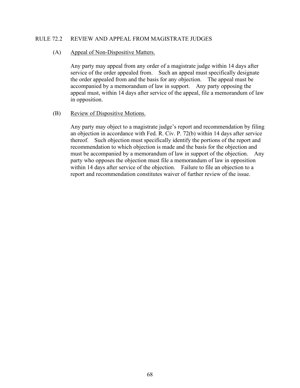### RULE 72.2 REVIEW AND APPEAL FROM MAGISTRATE JUDGES

### (A) Appeal of Non-Dispositive Matters.

Any party may appeal from any order of a magistrate judge within 14 days after service of the order appealed from. Such an appeal must specifically designate the order appealed from and the basis for any objection. The appeal must be accompanied by a memorandum of law in support. Any party opposing the appeal must, within 14 days after service of the appeal, file a memorandum of law in opposition.

### (B) Review of Dispositive Motions.

Any party may object to a magistrate judge's report and recommendation by filing an objection in accordance with Fed. R. Civ. P. 72(b) within 14 days after service thereof. Such objection must specifically identify the portions of the report and recommendation to which objection is made and the basis for the objection and must be accompanied by a memorandum of law in support of the objection. Any party who opposes the objection must file a memorandum of law in opposition within 14 days after service of the objection. Failure to file an objection to a report and recommendation constitutes waiver of further review of the issue.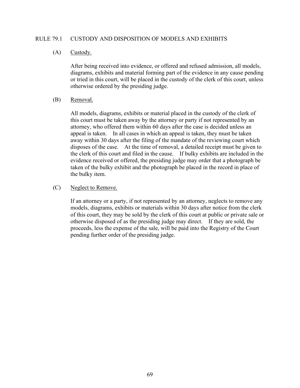# RULE 79.1 CUSTODY AND DISPOSITION OF MODELS AND EXHIBITS

# (A) Custody.

After being received into evidence, or offered and refused admission, all models, diagrams, exhibits and material forming part of the evidence in any cause pending or tried in this court, will be placed in the custody of the clerk of this court, unless otherwise ordered by the presiding judge.

# (B) Removal.

All models, diagrams, exhibits or material placed in the custody of the clerk of this court must be taken away by the attorney or party if not represented by an attorney, who offered them within 60 days after the case is decided unless an appeal is taken. In all cases in which an appeal is taken, they must be taken away within 30 days after the filing of the mandate of the reviewing court which disposes of the case. At the time of removal, a detailed receipt must be given to the clerk of this court and filed in the cause. If bulky exhibits are included in the evidence received or offered, the presiding judge may order that a photograph be taken of the bulky exhibit and the photograph be placed in the record in place of the bulky item.

# (C) Neglect to Remove.

If an attorney or a party, if not represented by an attorney, neglects to remove any models, diagrams, exhibits or materials within 30 days after notice from the clerk of this court, they may be sold by the clerk of this court at public or private sale or otherwise disposed of as the presiding judge may direct. If they are sold, the proceeds, less the expense of the sale, will be paid into the Registry of the Court pending further order of the presiding judge.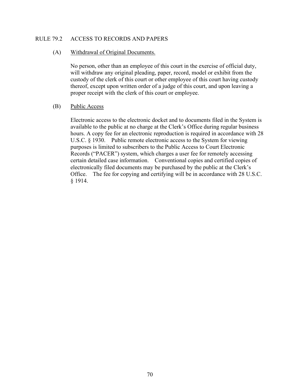### RULE 79.2 ACCESS TO RECORDS AND PAPERS

### (A) Withdrawal of Original Documents.

No person, other than an employee of this court in the exercise of official duty, will withdraw any original pleading, paper, record, model or exhibit from the custody of the clerk of this court or other employee of this court having custody thereof, except upon written order of a judge of this court, and upon leaving a proper receipt with the clerk of this court or employee.

#### (B) Public Access

Electronic access to the electronic docket and to documents filed in the System is available to the public at no charge at the Clerk's Office during regular business hours. A copy fee for an electronic reproduction is required in accordance with 28 U.S.C. § 1930. Public remote electronic access to the System for viewing purposes is limited to subscribers to the Public Access to Court Electronic Records ("PACER") system, which charges a user fee for remotely accessing certain detailed case information. Conventional copies and certified copies of electronically filed documents may be purchased by the public at the Clerk's Office. The fee for copying and certifying will be in accordance with 28 U.S.C. § 1914.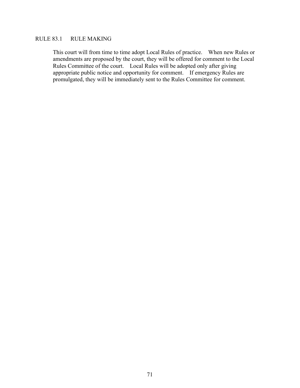# RULE 83.1 RULE MAKING

This court will from time to time adopt Local Rules of practice. When new Rules or amendments are proposed by the court, they will be offered for comment to the Local Rules Committee of the court. Local Rules will be adopted only after giving appropriate public notice and opportunity for comment. If emergency Rules are promulgated, they will be immediately sent to the Rules Committee for comment.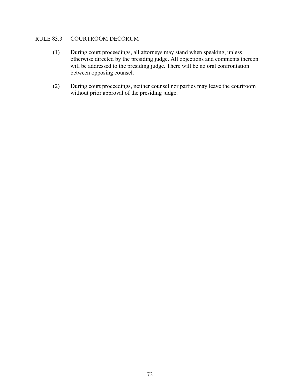# RULE 83.3 COURTROOM DECORUM

- (1) During court proceedings, all attorneys may stand when speaking, unless otherwise directed by the presiding judge. All objections and comments thereon will be addressed to the presiding judge. There will be no oral confrontation between opposing counsel.
- (2) During court proceedings, neither counsel nor parties may leave the courtroom without prior approval of the presiding judge.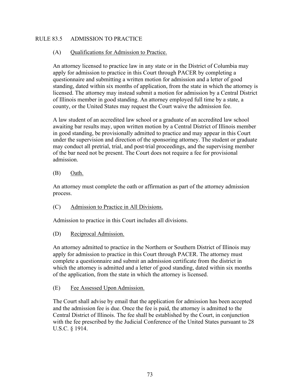# RULE 83.5 ADMISSION TO PRACTICE

# (A) Qualifications for Admission to Practice.

An attorney licensed to practice law in any state or in the District of Columbia may apply for admission to practice in this Court through PACER by completing a questionnaire and submitting a written motion for admission and a letter of good standing, dated within six months of application, from the state in which the attorney is licensed. The attorney may instead submit a motion for admission by a Central District of Illinois member in good standing. An attorney employed full time by a state, a county, or the United States may request the Court waive the admission fee.

A law student of an accredited law school or a graduate of an accredited law school awaiting bar results may, upon written motion by a Central District of Illinois member in good standing, be provisionally admitted to practice and may appear in this Court under the supervision and direction of the sponsoring attorney. The student or graduate may conduct all pretrial, trial, and post trial proceedings, and the supervising member of the bar need not be present. The Court does not require a fee for provisional admission.

# (B) Oath.

An attorney must complete the oath or affirmation as part of the attorney admission process.

### (C) Admission to Practice in All Divisions.

Admission to practice in this Court includes all divisions.

### (D) Reciprocal Admission.

An attorney admitted to practice in the Northern or Southern District of Illinois may apply for admission to practice in this Court through PACER. The attorney must complete a questionnaire and submit an admission certificate from the district in which the attorney is admitted and a letter of good standing, dated within six months of the application, from the state in which the attorney is licensed.

### (E) Fee Assessed Upon Admission.

The Court shall advise by email that the application for admission has been accepted and the admission fee is due. Once the fee is paid, the attorney is admitted to the Central District of Illinois. The fee shall be established by the Court, in conjunction with the fee prescribed by the Judicial Conference of the United States pursuant to 28 U.S.C. § 1914.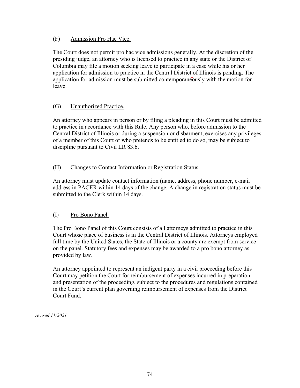# (F) Admission Pro Hac Vice.

The Court does not permit pro hac vice admissions generally. At the discretion of the presiding judge, an attorney who is licensed to practice in any state or the District of Columbia may file a motion seeking leave to participate in a case while his or her application for admission to practice in the Central District of Illinois is pending. The application for admission must be submitted contemporaneously with the motion for leave.

# (G) Unauthorized Practice.

An attorney who appears in person or by filing a pleading in this Court must be admitted to practice in accordance with this Rule. Any person who, before admission to the Central District of Illinois or during a suspension or disbarment, exercises any privileges of a member of this Court or who pretends to be entitled to do so, may be subject to discipline pursuant to Civil LR 83.6.

# (H) Changes to Contact Information or Registration Status.

An attorney must update contact information (name, address, phone number, e-mail address in PACER within 14 days of the change. A change in registration status must be submitted to the Clerk within 14 days.

# (I) Pro Bono Panel.

The Pro Bono Panel of this Court consists of all attorneys admitted to practice in this Court whose place of business is in the Central District of Illinois. Attorneys employed full time by the United States, the State of Illinois or a county are exempt from service on the panel. Statutory fees and expenses may be awarded to a pro bono attorney as provided by law.

An attorney appointed to represent an indigent party in a civil proceeding before this Court may petition the Court for reimbursement of expenses incurred in preparation and presentation of the proceeding, subject to the procedures and regulations contained in the Court's current plan governing reimbursement of expenses from the District Court Fund.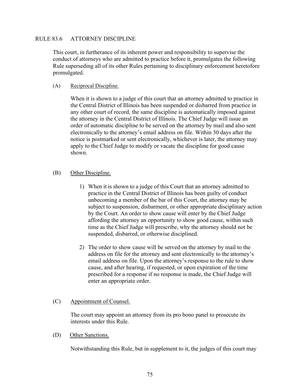# RULE 83.6 ATTORNEY DISCIPLINE

This court, in furtherance of its inherent power and responsibility to supervise the conduct of attorneys who are admitted to practice before it, promulgates the following Rule superseding all of its other Rules pertaining to disciplinary enforcement heretofore promulgated.

### (A) Reciprocal Discipline.

When it is shown to a judge of this court that an attorney admitted to practice in the Central District of Illinois has been suspended or disbarred from practice in any other court of record, the same discipline is automatically imposed against the attorney in the Central District of Illinois. The Chief Judge will issue an order of automatic discipline to be served on the attorney by mail and also sent electronically to the attorney's email address on file. Within 30 days after the notice is postmarked or sent electronically, whichever is later, the attorney may apply to the Chief Judge to modify or vacate the discipline for good cause shown.

# (B) Other Discipline.

- 1) When it is shown to a judge of this Court that an attorney admitted to practice in the Central District of Illinois has been guilty of conduct unbecoming a member of the bar of this Court, the attorney may be subject to suspension, disbarment, or other appropriate disciplinary action by the Court. An order to show cause will enter by the Chief Judge affording the attorney an opportunity to show good cause, within such time as the Chief Judge will prescribe, why the attorney should not be suspended, disbarred, or otherwise disciplined.
- 2) The order to show cause will be served on the attorney by mail to the address on file for the attorney and sent electronically to the attorney's email address on file. Upon the attorney's response to the rule to show cause, and after hearing, if requested, or upon expiration of the time prescribed for a response if no response is made, the Chief Judge will enter an appropriate order.

# (C) Appointment of Counsel.

The court may appoint an attorney from its pro bono panel to prosecute its interests under this Rule.

### (D) Other Sanctions.

Notwithstanding this Rule, but in supplement to it, the judges of this court may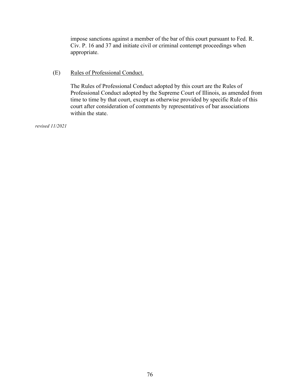impose sanctions against a member of the bar of this court pursuant to Fed. R. Civ. P. 16 and 37 and initiate civil or criminal contempt proceedings when appropriate.

### (E) Rules of Professional Conduct.

The Rules of Professional Conduct adopted by this court are the Rules of Professional Conduct adopted by the Supreme Court of Illinois, as amended from time to time by that court, except as otherwise provided by specific Rule of this court after consideration of comments by representatives of bar associations within the state.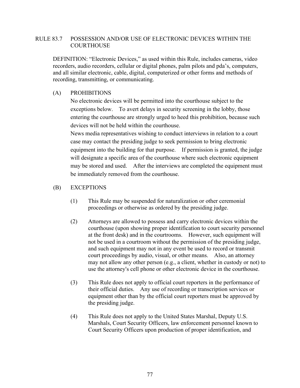# RULE 83.7 POSSESSION AND/OR USE OF ELECTRONIC DEVICES WITHIN THE **COURTHOUSE**

DEFINITION: "Electronic Devices," as used within this Rule, includes cameras, video recorders, audio recorders, cellular or digital phones, palm pilots and pda's, computers, and all similar electronic, cable, digital, computerized or other forms and methods of recording, transmitting, or communicating.

# (A) PROHIBITIONS

No electronic devices will be permitted into the courthouse subject to the exceptions below. To avert delays in security screening in the lobby, those entering the courthouse are strongly urged to heed this prohibition, because such devices will not be held within the courthouse.

News media representatives wishing to conduct interviews in relation to a court case may contact the presiding judge to seek permission to bring electronic equipment into the building for that purpose. If permission is granted, the judge will designate a specific area of the courthouse where such electronic equipment may be stored and used. After the interviews are completed the equipment must be immediately removed from the courthouse.

# (B) EXCEPTIONS

- (1) This Rule may be suspended for naturalization or other ceremonial proceedings or otherwise as ordered by the presiding judge.
- (2) Attorneys are allowed to possess and carry electronic devices within the courthouse (upon showing proper identification to court security personnel at the front desk) and in the courtrooms. However, such equipment will not be used in a courtroom without the permission of the presiding judge, and such equipment may not in any event be used to record or transmit court proceedings by audio, visual, or other means. Also, an attorney may not allow any other person (e.g., a client, whether in custody or not) to use the attorney's cell phone or other electronic device in the courthouse.
- (3) This Rule does not apply to official court reporters in the performance of their official duties. Any use of recording or transcription services or equipment other than by the official court reporters must be approved by the presiding judge.
- (4) This Rule does not apply to the United States Marshal, Deputy U.S. Marshals, Court Security Officers, law enforcement personnel known to Court Security Officers upon production of proper identification, and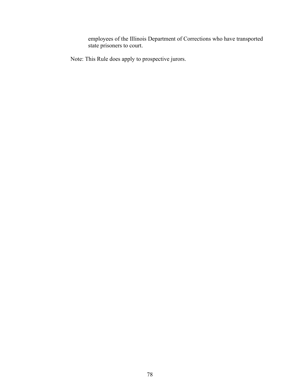employees of the Illinois Department of Corrections who have transported state prisoners to court.

Note: This Rule does apply to prospective jurors.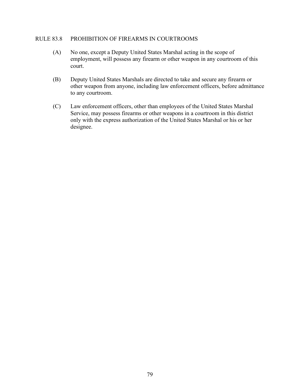### RULE 83.8 PROHIBITION OF FIREARMS IN COURTROOMS

- (A) No one, except a Deputy United States Marshal acting in the scope of employment, will possess any firearm or other weapon in any courtroom of this court.
- (B) Deputy United States Marshals are directed to take and secure any firearm or other weapon from anyone, including law enforcement officers, before admittance to any courtroom.
- (C) Law enforcement officers, other than employees of the United States Marshal Service, may possess firearms or other weapons in a courtroom in this district only with the express authorization of the United States Marshal or his or her designee.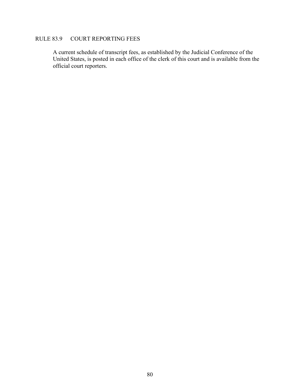# RULE 83.9 COURT REPORTING FEES

A current schedule of transcript fees, as established by the Judicial Conference of the United States, is posted in each office of the clerk of this court and is available from the official court reporters.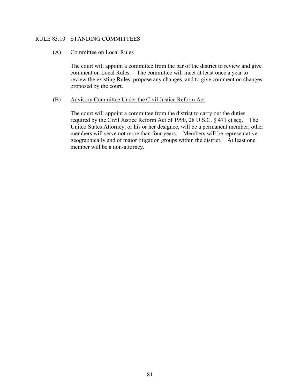### RULE 83.10 STANDING COMMITTEES

# (A) Committee on Local Rules

The court will appoint a committee from the bar of the district to review and give comment on Local Rules. The committee will meet at least once a year to review the existing Rules, propose any changes, and to give comment on changes proposed by the court.

# (B) Advisory Committee Under the Civil Justice Reform Act

The court will appoint a committee from the district to carry out the duties required by the Civil Justice Reform Act of 1990, 28 U.S.C. § 471 et seq. The United States Attorney, or his or her designee, will be a permanent member; other members will serve not more than four years. Members will be representative geographically and of major litigation groups within the district. At least one member will be a non-attorney.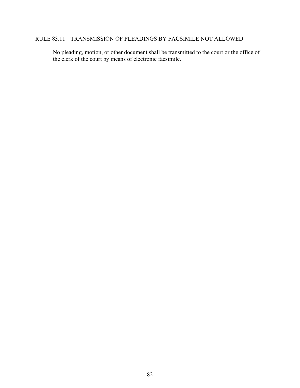# RULE 83.11 TRANSMISSION OF PLEADINGS BY FACSIMILE NOT ALLOWED

No pleading, motion, or other document shall be transmitted to the court or the office of the clerk of the court by means of electronic facsimile.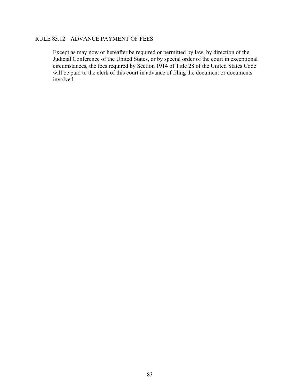# RULE 83.12 ADVANCE PAYMENT OF FEES

Except as may now or hereafter be required or permitted by law, by direction of the Judicial Conference of the United States, or by special order of the court in exceptional circumstances, the fees required by Section 1914 of Title 28 of the United States Code will be paid to the clerk of this court in advance of filing the document or documents involved.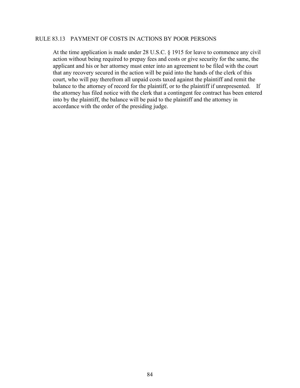### RULE 83.13 PAYMENT OF COSTS IN ACTIONS BY POOR PERSONS

At the time application is made under 28 U.S.C. § 1915 for leave to commence any civil action without being required to prepay fees and costs or give security for the same, the applicant and his or her attorney must enter into an agreement to be filed with the court that any recovery secured in the action will be paid into the hands of the clerk of this court, who will pay therefrom all unpaid costs taxed against the plaintiff and remit the balance to the attorney of record for the plaintiff, or to the plaintiff if unrepresented. If the attorney has filed notice with the clerk that a contingent fee contract has been entered into by the plaintiff, the balance will be paid to the plaintiff and the attorney in accordance with the order of the presiding judge.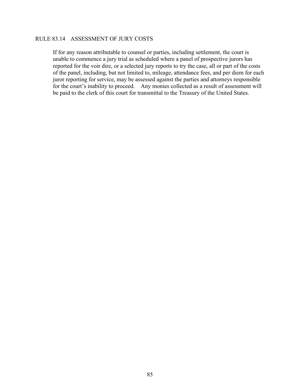# RULE 83.14 ASSESSMENT OF JURY COSTS

If for any reason attributable to counsel or parties, including settlement, the court is unable to commence a jury trial as scheduled where a panel of prospective jurors has reported for the voir dire, or a selected jury reports to try the case, all or part of the costs of the panel, including, but not limited to, mileage, attendance fees, and per diem for each juror reporting for service, may be assessed against the parties and attorneys responsible for the court's inability to proceed. Any monies collected as a result of assessment will be paid to the clerk of this court for transmittal to the Treasury of the United States.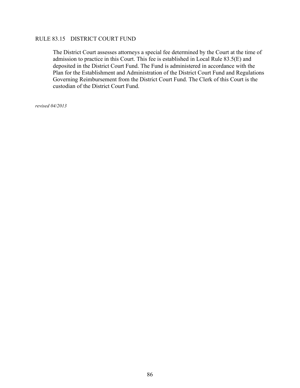# RULE 83.15 DISTRICT COURT FUND

The District Court assesses attorneys a special fee determined by the Court at the time of admission to practice in this Court. This fee is established in Local Rule 83.5(E) and deposited in the District Court Fund. The Fund is administered in accordance with the Plan for the Establishment and Administration of the District Court Fund and Regulations Governing Reimbursement from the District Court Fund. The Clerk of this Court is the custodian of the District Court Fund.

*revised 04/2013*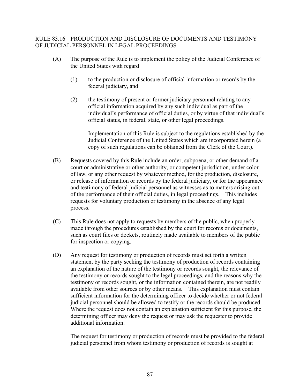# RULE 83.16 PRODUCTION AND DISCLOSURE OF DOCUMENTS AND TESTIMONY OF JUDICIAL PERSONNEL IN LEGAL PROCEEDINGS

- (A) The purpose of the Rule is to implement the policy of the Judicial Conference of the United States with regard
	- (1) to the production or disclosure of official information or records by the federal judiciary, and
	- (2) the testimony of present or former judiciary personnel relating to any official information acquired by any such individual as part of the individual's performance of official duties, or by virtue of that individual's official status, in federal, state, or other legal proceedings.

Implementation of this Rule is subject to the regulations established by the Judicial Conference of the United States which are incorporated herein (a copy of such regulations can be obtained from the Clerk of the Court).

- (B) Requests covered by this Rule include an order, subpoena, or other demand of a court or administrative or other authority, or competent jurisdiction, under color of law, or any other request by whatever method, for the production, disclosure, or release of information or records by the federal judiciary, or for the appearance and testimony of federal judicial personnel as witnesses as to matters arising out of the performance of their official duties, in legal proceedings. This includes requests for voluntary production or testimony in the absence of any legal process.
- (C) This Rule does not apply to requests by members of the public, when properly made through the procedures established by the court for records or documents, such as court files or dockets, routinely made available to members of the public for inspection or copying.
- (D) Any request for testimony or production of records must set forth a written statement by the party seeking the testimony of production of records containing an explanation of the nature of the testimony or records sought, the relevance of the testimony or records sought to the legal proceedings, and the reasons why the testimony or records sought, or the information contained therein, are not readily available from other sources or by other means. This explanation must contain sufficient information for the determining officer to decide whether or not federal judicial personnel should be allowed to testify or the records should be produced. Where the request does not contain an explanation sufficient for this purpose, the determining officer may deny the request or may ask the requester to provide additional information.

The request for testimony or production of records must be provided to the federal judicial personnel from whom testimony or production of records is sought at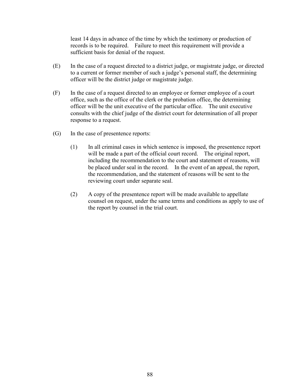least 14 days in advance of the time by which the testimony or production of records is to be required. Failure to meet this requirement will provide a sufficient basis for denial of the request.

- (E) In the case of a request directed to a district judge, or magistrate judge, or directed to a current or former member of such a judge's personal staff, the determining officer will be the district judge or magistrate judge.
- (F) In the case of a request directed to an employee or former employee of a court office, such as the office of the clerk or the probation office, the determining officer will be the unit executive of the particular office. The unit executive consults with the chief judge of the district court for determination of all proper response to a request.
- (G) In the case of presentence reports:
	- (1) In all criminal cases in which sentence is imposed, the presentence report will be made a part of the official court record. The original report, including the recommendation to the court and statement of reasons, will be placed under seal in the record. In the event of an appeal, the report, the recommendation, and the statement of reasons will be sent to the reviewing court under separate seal.
	- (2) A copy of the presentence report will be made available to appellate counsel on request, under the same terms and conditions as apply to use of the report by counsel in the trial court.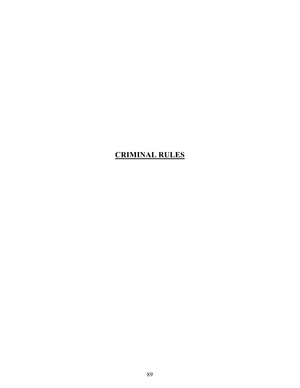# **CRIMINAL RULES**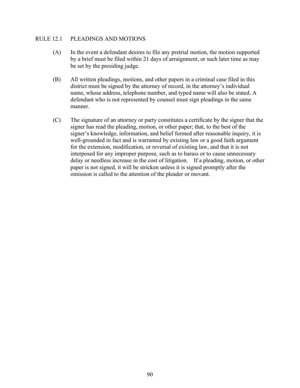# RULE 12.1 PLEADINGS AND MOTIONS

- (A) In the event a defendant desires to file any pretrial motion, the motion supported by a brief must be filed within 21 days of arraignment, or such later time as may be set by the presiding judge.
- (B) All written pleadings, motions, and other papers in a criminal case filed in this district must be signed by the attorney of record, in the attorney's individual name, whose address, telephone number, and typed name will also be stated. A defendant who is not represented by counsel must sign pleadings in the same manner.
- (C) The signature of an attorney or party constitutes a certificate by the signer that the signer has read the pleading, motion, or other paper; that, to the best of the signer's knowledge, information, and belief formed after reasonable inquiry, it is well-grounded in fact and is warranted by existing law or a good faith argument for the extension, modification, or reversal of existing law, and that it is not interposed for any improper purpose, such as to harass or to cause unnecessary delay or needless increase in the cost of litigation. If a pleading, motion, or other paper is not signed, it will be stricken unless it is signed promptly after the omission is called to the attention of the pleader or movant.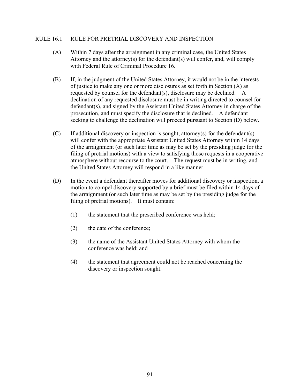### RULE 16.1 RULE FOR PRETRIAL DISCOVERY AND INSPECTION

- (A) Within 7 days after the arraignment in any criminal case, the United States Attorney and the attorney(s) for the defendant(s) will confer, and, will comply with Federal Rule of Criminal Procedure 16.
- (B) If, in the judgment of the United States Attorney, it would not be in the interests of justice to make any one or more disclosures as set forth in Section (A) as requested by counsel for the defendant(s), disclosure may be declined. A declination of any requested disclosure must be in writing directed to counsel for defendant(s), and signed by the Assistant United States Attorney in charge of the prosecution, and must specify the disclosure that is declined. A defendant seeking to challenge the declination will proceed pursuant to Section (D) below.
- $(C)$  If additional discovery or inspection is sought, attorney(s) for the defendant(s) will confer with the appropriate Assistant United States Attorney within 14 days of the arraignment (or such later time as may be set by the presiding judge for the filing of pretrial motions) with a view to satisfying those requests in a cooperative atmosphere without recourse to the court. The request must be in writing, and the United States Attorney will respond in a like manner.
- (D) In the event a defendant thereafter moves for additional discovery or inspection, a motion to compel discovery supported by a brief must be filed within 14 days of the arraignment (or such later time as may be set by the presiding judge for the filing of pretrial motions). It must contain:
	- (1) the statement that the prescribed conference was held;
	- (2) the date of the conference;
	- (3) the name of the Assistant United States Attorney with whom the conference was held; and
	- (4) the statement that agreement could not be reached concerning the discovery or inspection sought.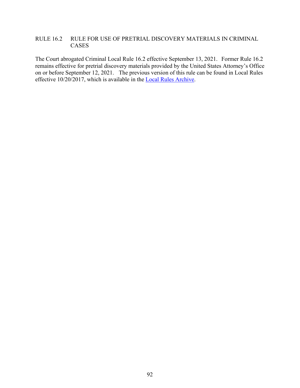# RULE 16.2 RULE FOR USE OF PRETRIAL DISCOVERY MATERIALS IN CRIMINAL CASES

The Court abrogated Criminal Local Rule 16.2 effective September 13, 2021. Former Rule 16.2 remains effective for pretrial discovery materials provided by the United States Attorney's Office on or before September 12, 2021. The previous version of this rule can be found in Local Rules effective 10/20/2017, which is available in the [Local Rules Archive.](https://www.ilcd.uscourts.gov/sites/ilcd/files/local_rules/2017-10%20Complete%20Manual.pdf)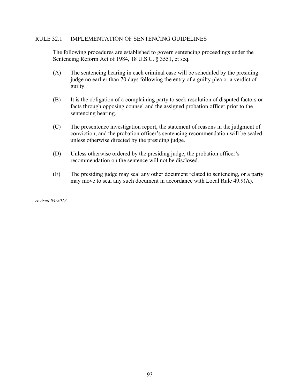### RULE 32.1 IMPLEMENTATION OF SENTENCING GUIDELINES

The following procedures are established to govern sentencing proceedings under the Sentencing Reform Act of 1984, 18 U.S.C. § 3551, et seq.

- (A) The sentencing hearing in each criminal case will be scheduled by the presiding judge no earlier than 70 days following the entry of a guilty plea or a verdict of guilty.
- (B) It is the obligation of a complaining party to seek resolution of disputed factors or facts through opposing counsel and the assigned probation officer prior to the sentencing hearing.
- (C) The presentence investigation report, the statement of reasons in the judgment of conviction, and the probation officer's sentencing recommendation will be sealed unless otherwise directed by the presiding judge.
- (D) Unless otherwise ordered by the presiding judge, the probation officer's recommendation on the sentence will not be disclosed.
- (E) The presiding judge may seal any other document related to sentencing, or a party may move to seal any such document in accordance with Local Rule 49.9(A).

*revised 04/2013*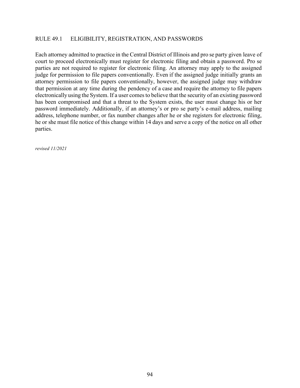### RULE 49.1 ELIGIBILITY, REGISTRATION, AND PASSWORDS

Each attorney admitted to practice in the Central District of Illinois and pro se party given leave of court to proceed electronically must register for electronic filing and obtain a password. Pro se parties are not required to register for electronic filing. An attorney may apply to the assigned judge for permission to file papers conventionally. Even if the assigned judge initially grants an attorney permission to file papers conventionally, however, the assigned judge may withdraw that permission at any time during the pendency of a case and require the attorney to file papers electronically using the System. If a user comes to believe that the security of an existing password has been compromised and that a threat to the System exists, the user must change his or her password immediately. Additionally, if an attorney's or pro se party's e-mail address, mailing address, telephone number, or fax number changes after he or she registers for electronic filing, he or she must file notice of this change within 14 days and serve a copy of the notice on all other parties.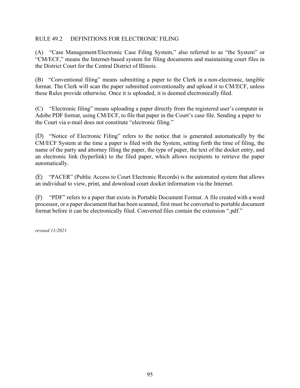# RULE 49.2 DEFINITIONS FOR ELECTRONIC FILING

(A) "Case Management/Electronic Case Filing System," also referred to as "the System" or "CM/ECF," means the Internet-based system for filing documents and maintaining court files in the District Court for the Central District of Illinois.

(B) "Conventional filing" means submitting a paper to the Clerk in a non-electronic, tangible format. The Clerk will scan the paper submitted conventionally and upload it to CM/ECF, unless these Rules provide otherwise. Once it is uploaded, it is deemed electronically filed.

(C) "Electronic filing" means uploading a paper directly from the registered user's computer in Adobe PDF format, using CM/ECF, to file that paper in the Court's case file. Sending a paper to the Court via e-mail does not constitute "electronic filing."

(D) "Notice of Electronic Filing" refers to the notice that is generated automatically by the CM/ECF System at the time a paper is filed with the System, setting forth the time of filing, the name of the party and attorney filing the paper, the type of paper, the text of the docket entry, and an electronic link (hyperlink) to the filed paper, which allows recipients to retrieve the paper automatically.

(E) "PACER" (Public Access to Court Electronic Records) is the automated system that allows an individual to view, print, and download court docket information via the Internet.

(F) "PDF" refers to a paper that exists in Portable Document Format. A file created with a word processor, or a paper document that has been scanned, first must be converted to portable document format before it can be electronically filed. Converted files contain the extension ".pdf."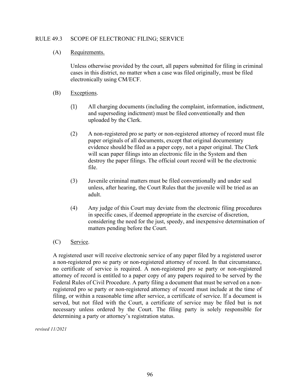# RULE 49.3 SCOPE OF ELECTRONIC FILING; SERVICE

# (A) Requirements.

Unless otherwise provided by the court, all papers submitted for filing in criminal cases in this district, no matter when a case was filed originally, must be filed electronically using CM/ECF.

# (B) Exceptions.

- (1) All charging documents (including the complaint, information, indictment, and superseding indictment) must be filed conventionally and then uploaded by the Clerk.
- (2) A non-registered pro se party or non-registered attorney of record must file paper originals of all documents, except that original documentary evidence should be filed as a paper copy, not a paper original. The Clerk will scan paper filings into an electronic file in the System and then destroy the paper filings. The official court record will be the electronic file.
- (3) Juvenile criminal matters must be filed conventionally and under seal unless, after hearing, the Court Rules that the juvenile will be tried as an adult.
- (4) Any judge of this Court may deviate from the electronic filing procedures in specific cases, if deemed appropriate in the exercise of discretion, considering the need for the just, speedy, and inexpensive determination of matters pending before the Court.

### (C) Service.

A registered user will receive electronic service of any paper filed by a registered useror a non-registered pro se party or non-registered attorney of record. In that circumstance, no certificate of service is required. A non-registered pro se party or non-registered attorney of record is entitled to a paper copy of any papers required to be served by the Federal Rules of Civil Procedure. A party filing a document that must be served on a nonregistered pro se party or non-registered attorney of record must include at the time of filing, or within a reasonable time after service, a certificate of service. If a document is served, but not filed with the Court, a certificate of service may be filed but is not necessary unless ordered by the Court. The filing party is solely responsible for determining a party or attorney's registration status.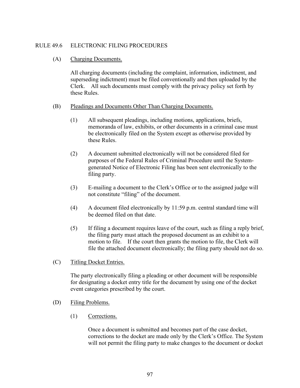# RULE 49.6 ELECTRONIC FILING PROCEDURES

### (A) Charging Documents.

All charging documents (including the complaint, information, indictment, and superseding indictment) must be filed conventionally and then uploaded by the Clerk. All such documents must comply with the privacy policy set forth by these Rules.

### (B) Pleadings and Documents Other Than Charging Documents.

- (1) All subsequent pleadings, including motions, applications, briefs, memoranda of law, exhibits, or other documents in a criminal case must be electronically filed on the System except as otherwise provided by these Rules.
- (2) A document submitted electronically will not be considered filed for purposes of the Federal Rules of Criminal Procedure until the Systemgenerated Notice of Electronic Filing has been sent electronically to the filing party.
- (3) E-mailing a document to the Clerk's Office or to the assigned judge will not constitute "filing" of the document.
- (4) A document filed electronically by 11:59 p.m. central standard time will be deemed filed on that date.
- (5) If filing a document requires leave of the court, such as filing a reply brief, the filing party must attach the proposed document as an exhibit to a motion to file. If the court then grants the motion to file, the Clerk will file the attached document electronically; the filing party should not do so.
- (C) Titling Docket Entries.

The party electronically filing a pleading or other document will be responsible for designating a docket entry title for the document by using one of the docket event categories prescribed by the court.

- (D) Filing Problems.
	- (1) Corrections.

Once a document is submitted and becomes part of the case docket, corrections to the docket are made only by the Clerk's Office. The System will not permit the filing party to make changes to the document or docket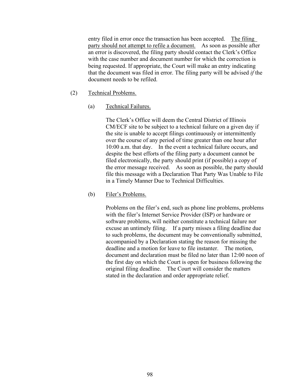entry filed in error once the transaction has been accepted. The filing party should not attempt to refile a document. As soon as possible after an error is discovered, the filing party should contact the Clerk's Office with the case number and document number for which the correction is being requested. If appropriate, the Court will make an entry indicating that the document was filed in error. The filing party will be advised *if* the document needs to be refiled.

- (2) Technical Problems.
	- (a) Technical Failures.

The Clerk's Office will deem the Central District of Illinois CM/ECF site to be subject to a technical failure on a given day if the site is unable to accept filings continuously or intermittently over the course of any period of time greater than one hour after 10:00 a.m. that day. In the event a technical failure occurs, and despite the best efforts of the filing party a document cannot be filed electronically, the party should print (if possible) a copy of the error message received. As soon as possible, the party should file this message with a Declaration That Party Was Unable to File in a Timely Manner Due to Technical Difficulties.

(b) Filer's Problems.

Problems on the filer's end, such as phone line problems, problems with the filer's Internet Service Provider (ISP) or hardware or software problems, will neither constitute a technical failure nor excuse an untimely filing. If a party misses a filing deadline due to such problems, the document may be conventionally submitted, accompanied by a Declaration stating the reason for missing the deadline and a motion for leave to file instanter. The motion, document and declaration must be filed no later than 12:00 noon of the first day on which the Court is open for business following the original filing deadline. The Court will consider the matters stated in the declaration and order appropriate relief.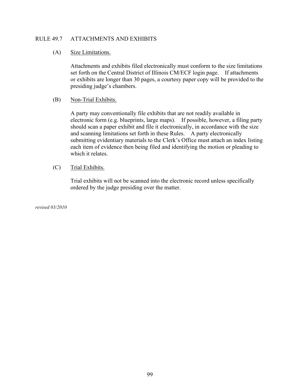# RULE 49.7 ATTACHMENTS AND EXHIBITS

# (A) Size Limitations.

Attachments and exhibits filed electronically must conform to the size limitations set forth on the Central District of Illinois CM/ECF login page. If attachments or exhibits are longer than 30 pages, a courtesy paper copy will be provided to the presiding judge's chambers.

# (B) Non-Trial Exhibits.

A party may conventionally file exhibits that are not readily available in electronic form (e.g. blueprints, large maps). If possible, however, a filing party should scan a paper exhibit and file it electronically, in accordance with the size and scanning limitations set forth in these Rules. A party electronically submitting evidentiary materials to the Clerk's Office must attach an index listing each item of evidence then being filed and identifying the motion or pleading to which it relates.

# (C) Trial Exhibits.

Trial exhibits will not be scanned into the electronic record unless specifically ordered by the judge presiding over the matter.

*revised 03/2010*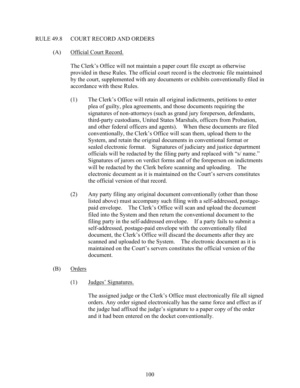### RULE 49.8 COURT RECORD AND ORDERS

### (A) Official Court Record.

The Clerk's Office will not maintain a paper court file except as otherwise provided in these Rules. The official court record is the electronic file maintained by the court, supplemented with any documents or exhibits conventionally filed in accordance with these Rules.

- (1) The Clerk's Office will retain all original indictments, petitions to enter plea of guilty, plea agreements, and those documents requiring the signatures of non-attorneys (such as grand jury foreperson, defendants, third-party custodians, United States Marshals, officers from Probation, and other federal officers and agents). When these documents are filed conventionally, the Clerk's Office will scan them, upload them to the System, and retain the original documents in conventional format or sealed electronic format. Signatures of judiciary and justice department officials will be redacted by the filing party and replaced with "s/ name." Signatures of jurors on verdict forms and of the foreperson on indictments will be redacted by the Clerk before scanning and uploading. The electronic document as it is maintained on the Court's servers constitutes the official version of that record.
- (2) Any party filing any original document conventionally (other than those listed above) must accompany such filing with a self-addressed, postagepaid envelope. The Clerk's Office will scan and upload the document filed into the System and then return the conventional document to the filing party in the self-addressed envelope. If a party fails to submit a self-addressed, postage-paid envelope with the conventionally filed document, the Clerk's Office will discard the documents after they are scanned and uploaded to the System. The electronic document as it is maintained on the Court's servers constitutes the official version of the document.
- (B) Orders
	- (1) Judges' Signatures.

The assigned judge or the Clerk's Office must electronically file all signed orders. Any order signed electronically has the same force and effect as if the judge had affixed the judge's signature to a paper copy of the order and it had been entered on the docket conventionally.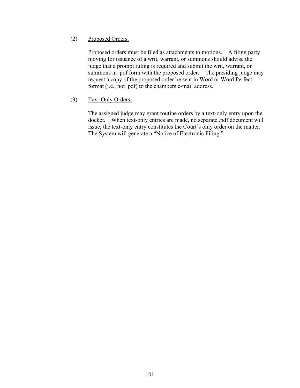# (2) Proposed Orders.

Proposed orders must be filed as attachments to motions. A filing party moving for issuance of a writ, warrant, or summons should advise the judge that a prompt ruling is required and submit the writ, warrant, or summons in .pdf form with the proposed order. The presiding judge may request a copy of the proposed order be sent in Word or Word Perfect format (i.e., not .pdf) to the chambers e-mail address.

# (3) Text-Only Orders.

The assigned judge may grant routine orders by a text-only entry upon the docket. When text-only entries are made, no separate .pdf document will issue; the text-only entry constitutes the Court's only order on the matter. The System will generate a "Notice of Electronic Filing."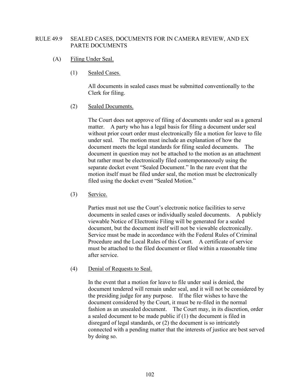# RULE 49.9 SEALED CASES, DOCUMENTS FOR IN CAMERA REVIEW, AND EX PARTE DOCUMENTS

- (A) Filing Under Seal.
	- (1) Sealed Cases.

All documents in sealed cases must be submitted conventionally to the Clerk for filing.

(2) Sealed Documents.

The Court does not approve of filing of documents under seal as a general matter. A party who has a legal basis for filing a document under seal without prior court order must electronically file a motion for leave to file under seal. The motion must include an explanation of how the document meets the legal standards for filing sealed documents. The document in question may not be attached to the motion as an attachment but rather must be electronically filed contemporaneously using the separate docket event "Sealed Document." In the rare event that the motion itself must be filed under seal, the motion must be electronically filed using the docket event "Sealed Motion."

(3) Service.

Parties must not use the Court's electronic notice facilities to serve documents in sealed cases or individually sealed documents. A publicly viewable Notice of Electronic Filing will be generated for a sealed document, but the document itself will not be viewable electronically. Service must be made in accordance with the Federal Rules of Criminal Procedure and the Local Rules of this Court. A certificate of service must be attached to the filed document or filed within a reasonable time after service.

(4) Denial of Requests to Seal.

In the event that a motion for leave to file under seal is denied, the document tendered will remain under seal, and it will not be considered by the presiding judge for any purpose. If the filer wishes to have the document considered by the Court, it must be re-filed in the normal fashion as an unsealed document. The Court may, in its discretion, order a sealed document to be made public if (1) the document is filed in disregard of legal standards, or (2) the document is so intricately connected with a pending matter that the interests of justice are best served by doing so.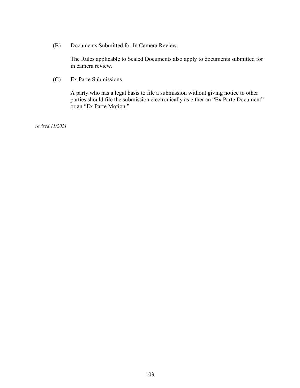### (B) Documents Submitted for In Camera Review.

The Rules applicable to Sealed Documents also apply to documents submitted for in camera review.

(C) Ex Parte Submissions.

A party who has a legal basis to file a submission without giving notice to other parties should file the submission electronically as either an "Ex Parte Document" or an "Ex Parte Motion."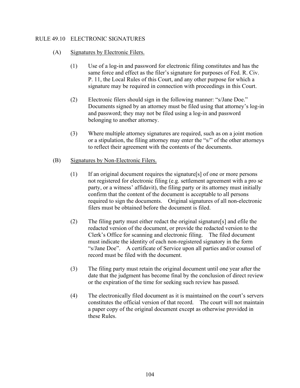#### RULE 49.10 ELECTRONIC SIGNATURES

#### (A) Signatures by Electronic Filers.

- (1) Use of a log-in and password for electronic filing constitutes and has the same force and effect as the filer's signature for purposes of Fed. R. Civ. P. 11, the Local Rules of this Court, and any other purpose for which a signature may be required in connection with proceedings in this Court.
- (2) Electronic filers should sign in the following manner: "s/Jane Doe." Documents signed by an attorney must be filed using that attorney's log-in and password; they may not be filed using a log-in and password belonging to another attorney.
- (3) Where multiple attorney signatures are required, such as on a joint motion or a stipulation, the filing attorney may enter the "s/" of the other attorneys to reflect their agreement with the contents of the documents.

#### (B) Signatures by Non-Electronic Filers.

- (1) If an original document requires the signature[s] of one or more persons not registered for electronic filing (e.g. settlement agreement with a pro se party, or a witness' affidavit), the filing party or its attorney must initially confirm that the content of the document is acceptable to all persons required to sign the documents. Original signatures of all non-electronic filers must be obtained before the document is filed.
- (2) The filing party must either redact the original signature[s] and efile the redacted version of the document, or provide the redacted version to the Clerk's Office for scanning and electronic filing. The filed document must indicate the identity of each non-registered signatory in the form "s/Jane Doe". A certificate of Service upon all parties and/or counsel of record must be filed with the document.
- (3) The filing party must retain the original document until one year after the date that the judgment has become final by the conclusion of direct review or the expiration of the time for seeking such review has passed.
- (4) The electronically filed document as it is maintained on the court's servers constitutes the official version of that record. The court will not maintain a paper copy of the original document except as otherwise provided in these Rules.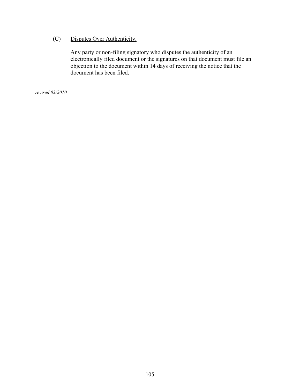## (C) Disputes Over Authenticity.

Any party or non-filing signatory who disputes the authenticity of an electronically filed document or the signatures on that document must file an objection to the document within 14 days of receiving the notice that the document has been filed.

*revised 03/2010*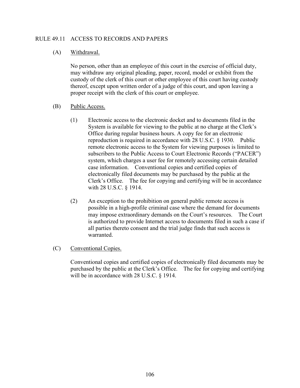#### RULE 49.11 ACCESS TO RECORDS AND PAPERS

#### (A) Withdrawal.

No person, other than an employee of this court in the exercise of official duty, may withdraw any original pleading, paper, record, model or exhibit from the custody of the clerk of this court or other employee of this court having custody thereof, except upon written order of a judge of this court, and upon leaving a proper receipt with the clerk of this court or employee.

- (B) Public Access.
	- (1) Electronic access to the electronic docket and to documents filed in the System is available for viewing to the public at no charge at the Clerk's Office during regular business hours. A copy fee for an electronic reproduction is required in accordance with 28 U.S.C. § 1930. Public remote electronic access to the System for viewing purposes is limited to subscribers to the Public Access to Court Electronic Records ("PACER") system, which charges a user fee for remotely accessing certain detailed case information. Conventional copies and certified copies of electronically filed documents may be purchased by the public at the Clerk's Office. The fee for copying and certifying will be in accordance with 28 U.S.C. § 1914.
	- (2) An exception to the prohibition on general public remote access is possible in a high-profile criminal case where the demand for documents may impose extraordinary demands on the Court's resources. The Court is authorized to provide Internet access to documents filed in such a case if all parties thereto consent and the trial judge finds that such access is warranted.

#### (C) Conventional Copies.

Conventional copies and certified copies of electronically filed documents may be purchased by the public at the Clerk's Office. The fee for copying and certifying will be in accordance with 28 U.S.C. § 1914.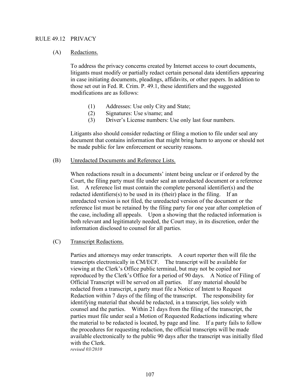#### RULE 49.12 PRIVACY

#### (A) Redactions.

To address the privacy concerns created by Internet access to court documents, litigants must modify or partially redact certain personal data identifiers appearing in case initiating documents, pleadings, affidavits, or other papers. In addition to those set out in Fed. R. Crim. P. 49.1, these identifiers and the suggested modifications are as follows:

- (1) Addresses: Use only City and State;
- (2) Signatures: Use s/name; and
- (3) Driver's License numbers: Use only last four numbers.

Litigants also should consider redacting or filing a motion to file under seal any document that contains information that might bring harm to anyone or should not be made public for law enforcement or security reasons.

#### (B) Unredacted Documents and Reference Lists.

When redactions result in a documents' intent being unclear or if ordered by the Court, the filing party must file under seal an unredacted document or a reference list. A reference list must contain the complete personal identifier(s) and the redacted identifiers(s) to be used in its (their) place in the filing. If an unredacted version is not filed, the unredacted version of the document or the reference list must be retained by the filing party for one year after completion of the case, including all appeals. Upon a showing that the redacted information is both relevant and legitimately needed, the Court may, in its discretion, order the information disclosed to counsel for all parties.

#### (C) Transcript Redactions.

Parties and attorneys may order transcripts. A court reporter then will file the transcripts electronically in CM/ECF. The transcript will be available for viewing at the Clerk's Office public terminal, but may not be copied nor reproduced by the Clerk's Office for a period of 90 days. A Notice of Filing of Official Transcript will be served on all parties. If any material should be redacted from a transcript, a party must file a Notice of Intent to Request Redaction within 7 days of the filing of the transcript. The responsibility for identifying material that should be redacted, in a transcript, lies solely with counsel and the parties. Within 21 days from the filing of the transcript, the parties must file under seal a Motion of Requested Redactions indicating where the material to be redacted is located, by page and line. If a party fails to follow the procedures for requesting redaction, the official transcripts will be made available electronically to the public 90 days after the transcript was initially filed with the Clerk. *revised 03/2010*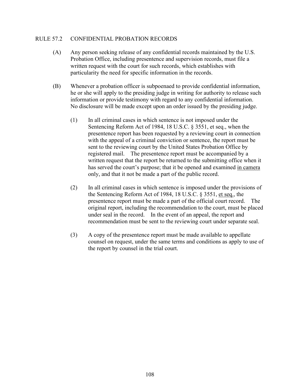#### RULE 57.2 CONFIDENTIAL PROBATION RECORDS

- (A) Any person seeking release of any confidential records maintained by the U.S. Probation Office, including presentence and supervision records, must file a written request with the court for such records, which establishes with particularity the need for specific information in the records.
- (B) Whenever a probation officer is subpoenaed to provide confidential information, he or she will apply to the presiding judge in writing for authority to release such information or provide testimony with regard to any confidential information. No disclosure will be made except upon an order issued by the presiding judge.
	- (1) In all criminal cases in which sentence is not imposed under the Sentencing Reform Act of 1984, 18 U.S.C. § 3551, et seq., when the presentence report has been requested by a reviewing court in connection with the appeal of a criminal conviction or sentence, the report must be sent to the reviewing court by the United States Probation Office by registered mail. The presentence report must be accompanied by a written request that the report be returned to the submitting office when it has served the court's purpose; that it be opened and examined in camera only, and that it not be made a part of the public record.
	- (2) In all criminal cases in which sentence is imposed under the provisions of the Sentencing Reform Act of 1984, 18 U.S.C. § 3551, et seq., the presentence report must be made a part of the official court record. The original report, including the recommendation to the court, must be placed under seal in the record. In the event of an appeal, the report and recommendation must be sent to the reviewing court under separate seal.
	- (3) A copy of the presentence report must be made available to appellate counsel on request, under the same terms and conditions as apply to use of the report by counsel in the trial court.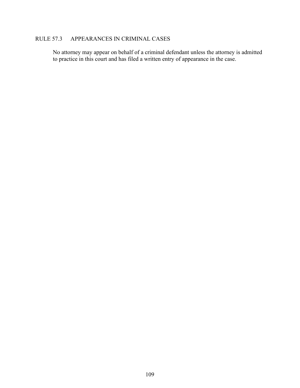## RULE 57.3 APPEARANCES IN CRIMINAL CASES

No attorney may appear on behalf of a criminal defendant unless the attorney is admitted to practice in this court and has filed a written entry of appearance in the case.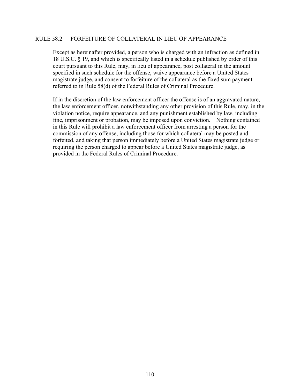#### RULE 58.2 FORFEITURE OF COLLATERAL IN LIEU OF APPEARANCE

Except as hereinafter provided, a person who is charged with an infraction as defined in 18 U.S.C. § 19, and which is specifically listed in a schedule published by order of this court pursuant to this Rule, may, in lieu of appearance, post collateral in the amount specified in such schedule for the offense, waive appearance before a United States magistrate judge, and consent to forfeiture of the collateral as the fixed sum payment referred to in Rule 58(d) of the Federal Rules of Criminal Procedure.

If in the discretion of the law enforcement officer the offense is of an aggravated nature, the law enforcement officer, notwithstanding any other provision of this Rule, may, in the violation notice, require appearance, and any punishment established by law, including fine, imprisonment or probation, may be imposed upon conviction. Nothing contained in this Rule will prohibit a law enforcement officer from arresting a person for the commission of any offense, including those for which collateral may be posted and forfeited, and taking that person immediately before a United States magistrate judge or requiring the person charged to appear before a United States magistrate judge, as provided in the Federal Rules of Criminal Procedure.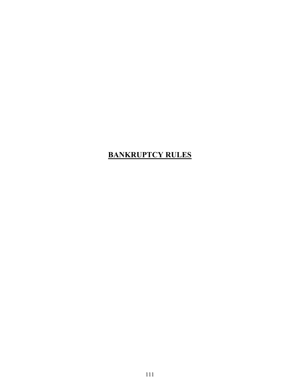## **BANKRUPTCY RULES**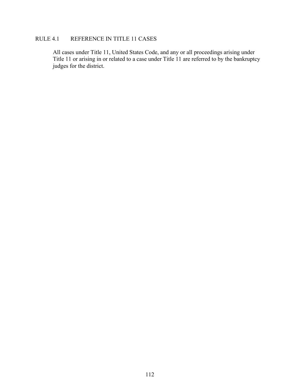## RULE 4.1 REFERENCE IN TITLE 11 CASES

All cases under Title 11, United States Code, and any or all proceedings arising under Title 11 or arising in or related to a case under Title 11 are referred to by the bankruptcy judges for the district.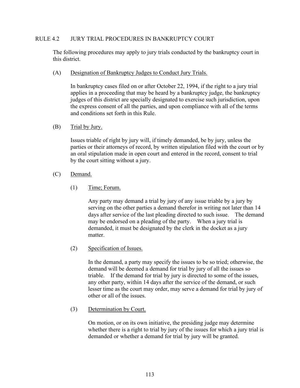#### RULE 4.2 JURY TRIAL PROCEDURES IN BANKRUPTCY COURT

The following procedures may apply to jury trials conducted by the bankruptcy court in this district.

(A) Designation of Bankruptcy Judges to Conduct Jury Trials.

In bankruptcy cases filed on or after October 22, 1994, if the right to a jury trial applies in a proceeding that may be heard by a bankruptcy judge, the bankruptcy judges of this district are specially designated to exercise such jurisdiction, upon the express consent of all the parties, and upon compliance with all of the terms and conditions set forth in this Rule.

#### (B) Trial by Jury.

Issues triable of right by jury will, if timely demanded, be by jury, unless the parties or their attorneys of record, by written stipulation filed with the court or by an oral stipulation made in open court and entered in the record, consent to trial by the court sitting without a jury.

- (C) Demand.
	- (1) Time; Forum.

Any party may demand a trial by jury of any issue triable by a jury by serving on the other parties a demand therefor in writing not later than 14 days after service of the last pleading directed to such issue. The demand may be endorsed on a pleading of the party. When a jury trial is demanded, it must be designated by the clerk in the docket as a jury matter.

(2) Specification of Issues.

In the demand, a party may specify the issues to be so tried; otherwise, the demand will be deemed a demand for trial by jury of all the issues so triable. If the demand for trial by jury is directed to some of the issues, any other party, within 14 days after the service of the demand, or such lesser time as the court may order, may serve a demand for trial by jury of other or all of the issues.

(3) Determination by Court.

On motion, or on its own initiative, the presiding judge may determine whether there is a right to trial by jury of the issues for which a jury trial is demanded or whether a demand for trial by jury will be granted.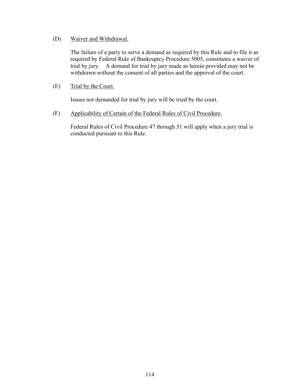#### (D) Waiver and Withdrawal.

The failure of a party to serve a demand as required by this Rule and to file it as required by Federal Rule of Bankruptcy Procedure 5005, constitutes a waiver of trial by jury. A demand for trial by jury made as herein provided may not be withdrawn without the consent of all parties and the approval of the court.

#### (E) Trial by the Court.

Issues not demanded for trial by jury will be tried by the court.

#### (F) Applicability of Certain of the Federal Rules of Civil Procedure.

Federal Rules of Civil Procedure 47 through 51 will apply when a jury trial is conducted pursuant to this Rule.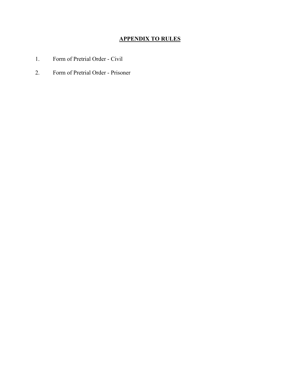## **APPENDIX TO RULES**

- 1. Form of Pretrial Order Civil
- 2. Form of Pretrial Order Prisoner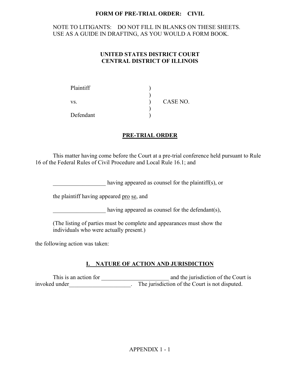#### **FORM OF PRE-TRIAL ORDER: CIVIL**

## NOTE TO LITIGANTS: DO NOT FILL IN BLANKS ON THESE SHEETS. USE AS A GUIDE IN DRAFTING, AS YOU WOULD A FORM BOOK.

## **UNITED STATES DISTRICT COURT CENTRAL DISTRICT OF ILLINOIS**

| Plaintiff |          |
|-----------|----------|
|           |          |
| VS.       | CASE NO. |
|           |          |
| Defendant |          |

## **PRE-TRIAL ORDER**

This matter having come before the Court at a pre-trial conference held pursuant to Rule 16 of the Federal Rules of Civil Procedure and Local Rule 16.1; and

having appeared as counsel for the plaintiff(s), or

the plaintiff having appeared pro se, and

having appeared as counsel for the defendant(s),

(The listing of parties must be complete and appearances must show the individuals who were actually present.)

the following action was taken:

## **I. NATURE OF ACTION AND JURISDICTION**

This is an action for \_\_\_\_\_\_\_\_\_\_\_\_\_\_\_\_\_\_\_\_\_\_\_ and the jurisdiction of the Court is invoked under The jurisdiction of the Court is not disputed.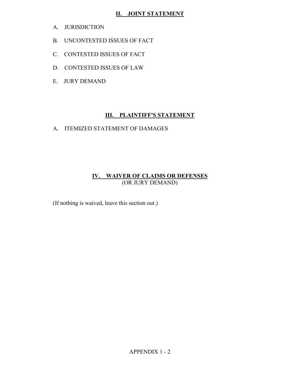## **II. JOINT STATEMENT**

- A. JURISDICTION
- B. UNCONTESTED ISSUES OF FACT
- C. CONTESTED ISSUES OF FACT
- D. CONTESTED ISSUES OF LAW
- E. JURY DEMAND

## **III. PLAINTIFF'S STATEMENT**

A. ITEMIZED STATEMENT OF DAMAGES

## **IV. WAIVER OF CLAIMS OR DEFENSES** (OR JURY DEMAND)

(If nothing is waived, leave this section out.)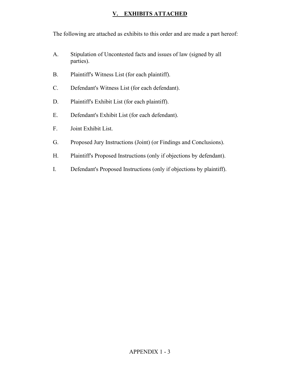## **V. EXHIBITS ATTACHED**

The following are attached as exhibits to this order and are made a part hereof:

- A. Stipulation of Uncontested facts and issues of law (signed by all parties).
- B. Plaintiff's Witness List (for each plaintiff).
- C. Defendant's Witness List (for each defendant).
- D. Plaintiff's Exhibit List (for each plaintiff).
- E. Defendant's Exhibit List (for each defendant).
- F. Joint Exhibit List.
- G. Proposed Jury Instructions (Joint) (or Findings and Conclusions).
- H. Plaintiff's Proposed Instructions (only if objections by defendant).
- I. Defendant's Proposed Instructions (only if objections by plaintiff).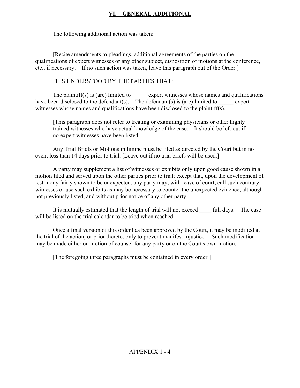## **VI. GENERAL ADDITIONAL**

The following additional action was taken:

[Recite amendments to pleadings, additional agreements of the parties on the qualifications of expert witnesses or any other subject, disposition of motions at the conference, etc., if necessary. If no such action was taken, leave this paragraph out of the Order.]

## IT IS UNDERSTOOD BY THE PARTIES THAT:

The plaintiff(s) is (are) limited to \_\_\_\_\_ expert witnesses whose names and qualifications have been disclosed to the defendant(s). The defendant(s) is (are) limited to expert witnesses whose names and qualifications have been disclosed to the plaintiff(s).

[This paragraph does not refer to treating or examining physicians or other highly trained witnesses who have actual knowledge of the case. It should be left out if no expert witnesses have been listed.]

Any Trial Briefs or Motions in limine must be filed as directed by the Court but in no event less than 14 days prior to trial. [Leave out if no trial briefs will be used.]

A party may supplement a list of witnesses or exhibits only upon good cause shown in a motion filed and served upon the other parties prior to trial; except that, upon the development of testimony fairly shown to be unexpected, any party may, with leave of court, call such contrary witnesses or use such exhibits as may be necessary to counter the unexpected evidence, although not previously listed, and without prior notice of any other party.

It is mutually estimated that the length of trial will not exceed full days. The case will be listed on the trial calendar to be tried when reached.

Once a final version of this order has been approved by the Court, it may be modified at the trial of the action, or prior thereto, only to prevent manifest injustice. Such modification may be made either on motion of counsel for any party or on the Court's own motion.

[The foregoing three paragraphs must be contained in every order.]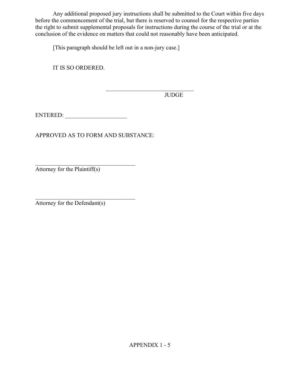Any additional proposed jury instructions shall be submitted to the Court within five days before the commencement of the trial, but there is reserved to counsel for the respective parties the right to submit supplemental proposals for instructions during the course of the trial or at the conclusion of the evidence on matters that could not reasonably have been anticipated.

[This paragraph should be left out in a non-jury case.]

IT IS SO ORDERED.

 $\overline{\phantom{a}}$  ,  $\overline{\phantom{a}}$  ,  $\overline{\phantom{a}}$  ,  $\overline{\phantom{a}}$  ,  $\overline{\phantom{a}}$  ,  $\overline{\phantom{a}}$  ,  $\overline{\phantom{a}}$  ,  $\overline{\phantom{a}}$  ,  $\overline{\phantom{a}}$  ,  $\overline{\phantom{a}}$  ,  $\overline{\phantom{a}}$  ,  $\overline{\phantom{a}}$  ,  $\overline{\phantom{a}}$  ,  $\overline{\phantom{a}}$  ,  $\overline{\phantom{a}}$  ,  $\overline{\phantom{a}}$ JUDGE

ENTERED: \_\_\_\_\_\_\_\_\_\_\_\_\_\_\_\_\_\_\_\_\_

APPROVED AS TO FORM AND SUBSTANCE:

 $\mathcal{L}_\mathcal{L}$  , which is a set of the set of the set of the set of the set of the set of the set of the set of the set of the set of the set of the set of the set of the set of the set of the set of the set of the set of Attorney for the Plaintiff(s)

 $\mathcal{L}_\mathcal{L}$  , which is a set of the set of the set of the set of the set of the set of the set of the set of the set of the set of the set of the set of the set of the set of the set of the set of the set of the set of Attorney for the Defendant(s)

APPENDIX 1 - 5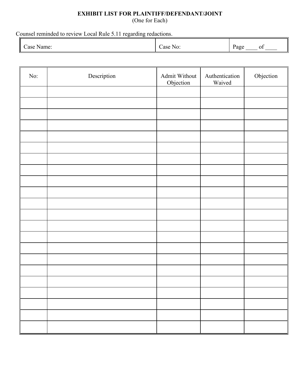## **EXHIBIT LIST FOR PLAINTIFF/DEFENDANT/JOINT**

(One for Each)

Counsel reminded to review Local Rule 5.11 regarding redactions.

| Case Name: | Case No: | Page<br>01 |
|------------|----------|------------|
|------------|----------|------------|

| No: | Description | Admit Without<br>Objection | Authentication<br>Waived | Objection |
|-----|-------------|----------------------------|--------------------------|-----------|
|     |             |                            |                          |           |
|     |             |                            |                          |           |
|     |             |                            |                          |           |
|     |             |                            |                          |           |
|     |             |                            |                          |           |
|     |             |                            |                          |           |
|     |             |                            |                          |           |
|     |             |                            |                          |           |
|     |             |                            |                          |           |
|     |             |                            |                          |           |
|     |             |                            |                          |           |
|     |             |                            |                          |           |
|     |             |                            |                          |           |
|     |             |                            |                          |           |
|     |             |                            |                          |           |
|     |             |                            |                          |           |
|     |             |                            |                          |           |
|     |             |                            |                          |           |
|     |             |                            |                          |           |
|     |             |                            |                          |           |
|     |             |                            |                          |           |
|     |             |                            |                          |           |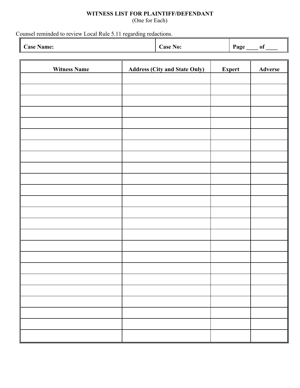#### **WITNESS LIST FOR PLAINTIFF/DEFENDANT**

(One for Each)

Counsel reminded to review Local Rule 5.11 regarding redactions.

| $\mathsf{L}$<br>$ -$<br><b>Case Name:</b> | <b>Case No:</b> | Page<br>01 |
|-------------------------------------------|-----------------|------------|
|-------------------------------------------|-----------------|------------|

| <b>Witness Name</b>      | <b>Address (City and State Only)</b> | <b>Expert</b> | <b>Adverse</b> |
|--------------------------|--------------------------------------|---------------|----------------|
|                          |                                      |               |                |
|                          |                                      |               |                |
|                          |                                      |               |                |
|                          |                                      |               |                |
|                          |                                      |               |                |
|                          |                                      |               |                |
|                          |                                      |               |                |
|                          |                                      |               |                |
|                          |                                      |               |                |
|                          |                                      |               |                |
|                          |                                      |               |                |
|                          |                                      |               |                |
|                          |                                      |               |                |
|                          |                                      |               |                |
|                          |                                      |               |                |
|                          |                                      |               |                |
|                          |                                      |               |                |
|                          |                                      |               |                |
|                          |                                      |               |                |
|                          |                                      |               |                |
|                          |                                      |               |                |
|                          |                                      |               |                |
|                          |                                      |               |                |
| $\overline{\phantom{a}}$ |                                      |               |                |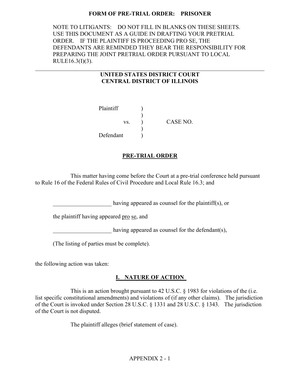#### **FORM OF PRE-TRIAL ORDER: PRISONER**

NOTE TO LITIGANTS: DO NOT FILL IN BLANKS ON THESE SHEETS. USE THIS DOCUMENT AS A GUIDE IN DRAFTING YOUR PRETRIAL ORDER. IF THE PLAINTIFF IS PROCEEDING PRO SE, THE DEFENDANTS ARE REMINDED THEY BEAR THE RESPONSIBILITY FOR PREPARING THE JOINT PRETRIAL ORDER PURSUANT TO LOCAL  $RULE16.3(I)(3)$ .

#### **UNITED STATES DISTRICT COURT CENTRAL DISTRICT OF ILLINOIS**

 Plaintiff ) ) vs. ) CASE NO. ) Defendant )

#### **PRE-TRIAL ORDER**

This matter having come before the Court at a pre-trial conference held pursuant to Rule 16 of the Federal Rules of Civil Procedure and Local Rule 16.3; and

having appeared as counsel for the plaintiff(s), or

the plaintiff having appeared pro se, and

having appeared as counsel for the defendant(s),

(The listing of parties must be complete).

the following action was taken:

#### **I. NATURE OF ACTION**

This is an action brought pursuant to 42 U.S.C. § 1983 for violations of the (i.e. list specific constitutional amendments) and violations of (if any other claims). The jurisdiction of the Court is invoked under Section 28 U.S.C. § 1331 and 28 U.S.C. § 1343. The jurisdiction of the Court is not disputed.

The plaintiff alleges (brief statement of case).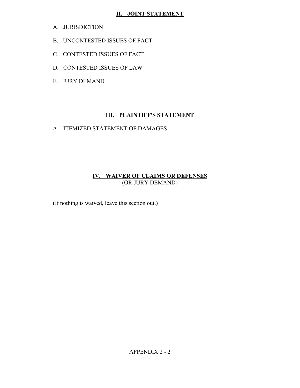## **II. JOINT STATEMENT**

- A. JURISDICTION
- B. UNCONTESTED ISSUES OF FACT
- C. CONTESTED ISSUES OF FACT
- D. CONTESTED ISSUES OF LAW
- E. JURY DEMAND

## **III. PLAINTIFF'S STATEMENT**

A. ITEMIZED STATEMENT OF DAMAGES

## **IV. WAIVER OF CLAIMS OR DEFENSES** (OR JURY DEMAND)

(If nothing is waived, leave this section out.)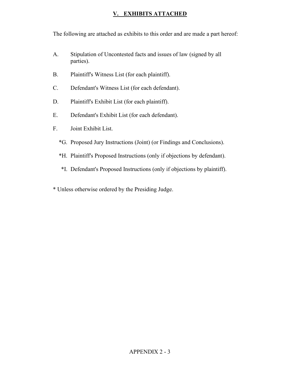## **V. EXHIBITS ATTACHED**

The following are attached as exhibits to this order and are made a part hereof:

- A. Stipulation of Uncontested facts and issues of law (signed by all parties).
- B. Plaintiff's Witness List (for each plaintiff).
- C. Defendant's Witness List (for each defendant).
- D. Plaintiff's Exhibit List (for each plaintiff).
- E. Defendant's Exhibit List (for each defendant).
- F. Joint Exhibit List.
	- \*G. Proposed Jury Instructions (Joint) (or Findings and Conclusions).
	- \*H. Plaintiff's Proposed Instructions (only if objections by defendant).
	- \*I. Defendant's Proposed Instructions (only if objections by plaintiff).
- \* Unless otherwise ordered by the Presiding Judge.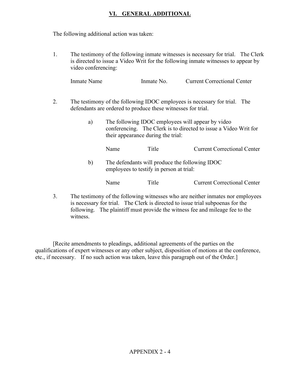## **VI. GENERAL ADDITIONAL**

The following additional action was taken:

1. The testimony of the following inmate witnesses is necessary for trial. The Clerk is directed to issue a Video Writ for the following inmate witnesses to appear by video conferencing:

Inmate Name Inmate No. Current Correctional Center

- 2. The testimony of the following IDOC employees is necessary for trial. The defendants are ordered to produce these witnesses for trial.
	- a) The following IDOC employees will appear by video conferencing. The Clerk is to directed to issue a Video Writ for their appearance during the trial:

Name Title Current Correctional Center

b) The defendants will produce the following IDOC employees to testify in person at trial:

Name Title Current Correctional Center

3. The testimony of the following witnesses who are neither inmates nor employees is necessary for trial. The Clerk is directed to issue trial subpoenas for the following. The plaintiff must provide the witness fee and mileage fee to the witness.

[Recite amendments to pleadings, additional agreements of the parties on the qualifications of expert witnesses or any other subject, disposition of motions at the conference, etc., if necessary. If no such action was taken, leave this paragraph out of the Order.]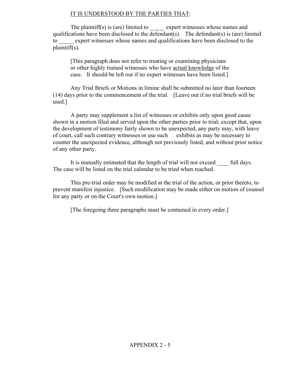#### IT IS UNDERSTOOD BY THE PARTIES THAT:

The plaintiff(s) is (are) limited to  $\qquad$  expert witnesses whose names and qualifications have been disclosed to the defendant(s). The defendant(s) is (are) limited to expert witnesses whose names and qualifications have been disclosed to the plaintiff(s).

[This paragraph does not refer to treating or examining physicians or other highly trained witnesses who have actual knowledge of the case. It should be left out if no expert witnesses have been listed.]

Any Trial Briefs or Motions in limine shall be submitted no later than fourteen (14) days prior to the commencement of the trial. [Leave out if no trial briefs will be used.]

A party may supplement a list of witnesses or exhibits only upon good cause shown in a motion filed and served upon the other parties prior to trial; except that, upon the development of testimony fairly shown to be unexpected, any party may, with leave of court, call such contrary witnesses or use such exhibits as may be necessary to counter the unexpected evidence, although not previously listed, and without prior notice of any other party.

It is mutually estimated that the length of trial will not exceed full days. The case will be listed on the trial calendar to be tried when reached.

This pre-trial order may be modified at the trial of the action, or prior thereto, to prevent manifest injustice. [Such modification may be made either on motion of counsel for any party or on the Court's own motion.]

[The foregoing three paragraphs must be contained in every order.]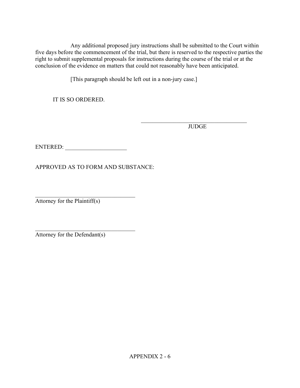Any additional proposed jury instructions shall be submitted to the Court within five days before the commencement of the trial, but there is reserved to the respective parties the right to submit supplemental proposals for instructions during the course of the trial or at the conclusion of the evidence on matters that could not reasonably have been anticipated.

[This paragraph should be left out in a non-jury case.]

IT IS SO ORDERED.

 $\mathcal{L}_\mathcal{L}$ JUDGE

ENTERED: \_\_\_\_\_\_\_\_\_\_\_\_\_\_\_\_\_\_\_\_\_

APPROVED AS TO FORM AND SUBSTANCE:

Attorney for the Plaintiff(s)

Attorney for the Defendant(s)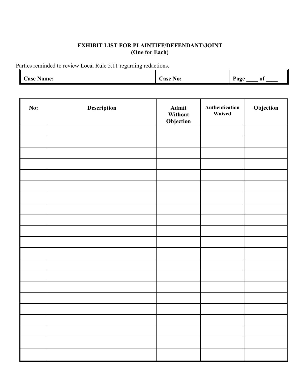## **EXHIBIT LIST FOR PLAINTIFF/DEFENDANT/JOINT (One for Each)**

Parties reminded to review Local Rule 5.11 regarding redactions.

| $\sqrt{C}$<br><b>\ame:</b><br><b>Case</b> | 'ЯСА<br>NO: | $\cdots$<br>01<br>ay.<br>- |
|-------------------------------------------|-------------|----------------------------|
|-------------------------------------------|-------------|----------------------------|

| No: | Description | Admit<br>Without<br>Objection | Authentication<br>Waived | Objection |
|-----|-------------|-------------------------------|--------------------------|-----------|
|     |             |                               |                          |           |
|     |             |                               |                          |           |
|     |             |                               |                          |           |
|     |             |                               |                          |           |
|     |             |                               |                          |           |
|     |             |                               |                          |           |
|     |             |                               |                          |           |
|     |             |                               |                          |           |
|     |             |                               |                          |           |
|     |             |                               |                          |           |
|     |             |                               |                          |           |
|     |             |                               |                          |           |
|     |             |                               |                          |           |
|     |             |                               |                          |           |
|     |             |                               |                          |           |
|     |             |                               |                          |           |
|     |             |                               |                          |           |
|     |             |                               |                          |           |
|     |             |                               |                          |           |
|     |             |                               |                          |           |